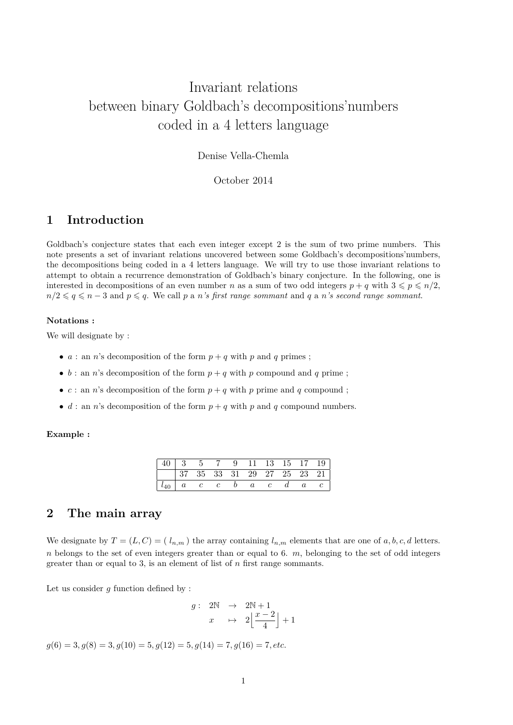# Invariant relations between binary Goldbach's decompositions'numbers coded in a 4 letters language

Denise Vella-Chemla

October 2014

# **1 Introduction**

Goldbach's conjecture states that each even integer except 2 is the sum of two prime numbers. This note presents a set of invariant relations uncovered between some Goldbach's decompositions'numbers, the decompositions being coded in a 4 letters language. We will try to use those invariant relations to attempt to obtain a recurrence demonstration of Goldbach's binary conjecture. In the following, one is interested in decompositions of an even number *n* as a sum of two odd integers  $p + q$  with  $3 \leq p \leq n/2$ ,  $n/2 \leqslant q \leqslant n-3$  and  $p \leqslant q$ . We call *p* a *n's first range sommant* and *q* a *n's second range sommant*.

#### **Notations :**

We will designate by :

- *a* : an *n*'s decomposition of the form  $p + q$  with *p* and *q* primes;
- $b:$  an *n*'s decomposition of the form  $p + q$  with *p* compound and *q* prime;
- $c:$  an *n*'s decomposition of the form  $p + q$  with *p* prime and *q* compound;
- *d* : an *n*'s decomposition of the form  $p + q$  with *p* and *q* compound numbers.

#### **Example :**

| $\begin{array}{ c c c c c c c c c c } \hline \text{37} & \text{35} & \text{33} & \text{31} & \text{29} & \text{27} & \text{25} & \text{23} & \text{21} \hline \end{array}$ |  |  |  |  |  |
|----------------------------------------------------------------------------------------------------------------------------------------------------------------------------|--|--|--|--|--|
| $\begin{array}{ c cccc } \hline l_{40} & a & c & c & b & a & c & d & a & c \\\hline \end{array}$                                                                           |  |  |  |  |  |

# **2 The main array**

We designate by  $T = (L, C) = (l_{n,m})$  the array containing  $l_{n,m}$  elements that are one of  $a, b, c, d$  letters. *n* belongs to the set of even integers greater than or equal to 6.  $m$ , belonging to the set of odd integers greater than or equal to 3, is an element of list of *n* first range sommants.

Let us consider  $g$  function defined by :

$$
\begin{array}{rcl} g: & 2\mathbb{N} & \rightarrow & 2\mathbb{N}+1 \\ & x & \mapsto & 2\left\lfloor \frac{x-2}{4}\right\rfloor+1 \end{array}
$$

 $g(6) = 3, g(8) = 3, g(10) = 5, g(12) = 5, g(14) = 7, g(16) = 7, etc.$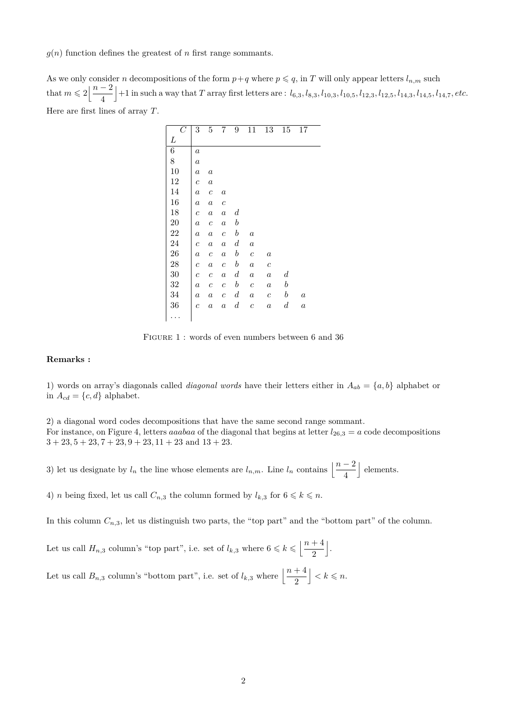$q(n)$  function defines the greatest of *n* first range sommants.

As we only consider *n* decompositions of the form  $p+q$  where  $p \leq q$ , in *T* will only appear letters  $l_{n,m}$  such that  $m \leqslant 2 \left| \frac{n-2}{4} \right|$ 4 +1 in such a way that T array first letters are :  $l_{6,3}, l_{8,3}, l_{10,3}, l_{10,5}, l_{12,3}, l_{12,5}, l_{14,3}, l_{14,5}, l_{14,7}, etc.$ Here are first lines of array *T*.

| $\overline{C}$ | 3                | 5                | 7                | 9                | 11               | 13               | 15               | 17               |  |
|----------------|------------------|------------------|------------------|------------------|------------------|------------------|------------------|------------------|--|
| L              |                  |                  |                  |                  |                  |                  |                  |                  |  |
| 6              | $\boldsymbol{a}$ |                  |                  |                  |                  |                  |                  |                  |  |
| 8              | $\boldsymbol{a}$ |                  |                  |                  |                  |                  |                  |                  |  |
| 10             | $\boldsymbol{a}$ | $\boldsymbol{a}$ |                  |                  |                  |                  |                  |                  |  |
| 12             | $\boldsymbol{c}$ | $\boldsymbol{a}$ |                  |                  |                  |                  |                  |                  |  |
| 14             | $\boldsymbol{a}$ | $\boldsymbol{c}$ | $\boldsymbol{a}$ |                  |                  |                  |                  |                  |  |
| 16             | $\boldsymbol{a}$ | $\boldsymbol{a}$ | $\boldsymbol{c}$ |                  |                  |                  |                  |                  |  |
| 18             | $\boldsymbol{c}$ | $\boldsymbol{a}$ | $\boldsymbol{a}$ | $\boldsymbol{d}$ |                  |                  |                  |                  |  |
| 20             | $\boldsymbol{a}$ | $\boldsymbol{c}$ | $\boldsymbol{a}$ | $\boldsymbol{b}$ |                  |                  |                  |                  |  |
| 22             | $\boldsymbol{a}$ | $\boldsymbol{a}$ | $\boldsymbol{c}$ | $\boldsymbol{b}$ | $\boldsymbol{a}$ |                  |                  |                  |  |
| 24             | $\boldsymbol{c}$ | $\boldsymbol{a}$ | $\boldsymbol{a}$ | $\boldsymbol{d}$ | $\boldsymbol{a}$ |                  |                  |                  |  |
| 26             | $\boldsymbol{a}$ | $\boldsymbol{c}$ | $\boldsymbol{a}$ | $\boldsymbol{b}$ | $\boldsymbol{c}$ | $\it a$          |                  |                  |  |
| 28             | $\boldsymbol{c}$ | $\boldsymbol{a}$ | $\boldsymbol{c}$ | $\boldsymbol{b}$ | $\boldsymbol{a}$ | $\boldsymbol{c}$ |                  |                  |  |
| 30             | $\boldsymbol{c}$ | $\boldsymbol{c}$ | $\boldsymbol{a}$ | $\boldsymbol{d}$ | $\boldsymbol{a}$ | $\it a$          | $\boldsymbol{d}$ |                  |  |
| 32             | $\boldsymbol{a}$ | $\boldsymbol{c}$ | $\boldsymbol{c}$ | $\boldsymbol{b}$ | $\boldsymbol{c}$ | $\it a$          | $\boldsymbol{b}$ |                  |  |
| 34             | $\boldsymbol{a}$ | $\boldsymbol{a}$ | $\,c\,$          | $\boldsymbol{d}$ | $\it a$          | $\boldsymbol{c}$ | $\boldsymbol{b}$ | $\boldsymbol{a}$ |  |
| 36             | $\boldsymbol{c}$ | $\boldsymbol{a}$ | $\boldsymbol{a}$ | $\boldsymbol{d}$ | $\boldsymbol{c}$ | $\it a$          | $\boldsymbol{d}$ | $\boldsymbol{a}$ |  |
|                |                  |                  |                  |                  |                  |                  |                  |                  |  |

FIGURE 1: words of even numbers between 6 and 36

#### **Remarks :**

1) words on array's diagonals called *diagonal words* have their letters either in  $A_{ab} = \{a, b\}$  alphabet or in  $A_{cd} = \{c, d\}$  alphabet.

2) a diagonal word codes decompositions that have the same second range sommant. For instance, on Figure 4, letters *aaabaa* of the diagonal that begins at letter  $l_{26,3} = a$  code decompositions  $3 + 23$ ,  $5 + 23$ ,  $7 + 23$ ,  $9 + 23$ ,  $11 + 23$  and  $13 + 23$ .

3) let us designate by  $l_n$  the line whose elements are  $l_{n,m}$ . Line  $l_n$  contains  $\left\lfloor \frac{n-2}{4} \right\rfloor$ | elements.

4) *n* being fixed, let us call  $C_{n,3}$  the column formed by  $l_{k,3}$  for  $6 \leq k \leq n$ .

In this column  $C_{n,3}$ , let us distinguish two parts, the "top part" and the "bottom part" of the column.

Let us call  $H_{n,3}$  column's "top part", i.e. set of  $l_{k,3}$  where  $6 \leq k \leq \left\lfloor \frac{n+4}{2} \right\rfloor$ 2 k .

Let us call  $B_{n,3}$  column's "bottom part", i.e. set of  $l_{k,3}$  where  $\left\lfloor \frac{n+4}{2} \right\rfloor$  $\vert < k \leqslant n$ .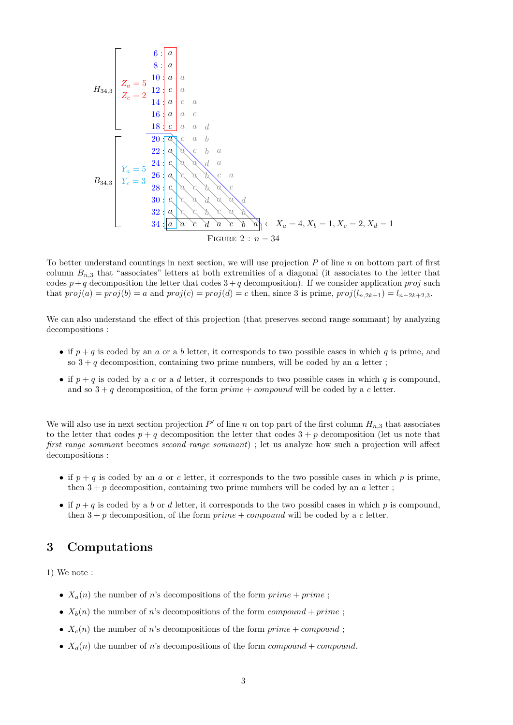6 : 8 : 10 : 12 : 14 : 16 : 18 : 20 : 22 : 24 : 26 : 28 : 30 : 32 : 34 : *a a a a c a a c a a a c c a a d a c a b a a c b a c a a d a a c a b c a c a c b a c c c a d a a d a c c b c a b a a c d a c b a Z<sup>a</sup>* = 5 *Z<sup>c</sup>* = 2 *Y<sup>a</sup>* = 5 *Y<sup>c</sup>* = 3 ← *X<sup>a</sup>* = 4*, X<sup>b</sup>* = 1*, X<sup>c</sup>* = 2*, X<sup>d</sup>* = 1 *H*34*,*<sup>3</sup> *B*34*,*<sup>3</sup> Figure 2 : *n* = 34

To better understand countings in next section, we will use projection *P* of line *n* on bottom part of first column  $B_{n,3}$  that "associates" letters at both extremities of a diagonal (it associates to the letter that codes  $p+q$  decomposition the letter that codes  $3+q$  decomposition). If we consider application *proj* such that  $proj(a) = proj(b) = a$  and  $proj(c) = proj(d) = c$  then, since 3 is prime,  $proj(l_{n,2k+1}) = l_{n-2k+2,3}$ .

We can also understand the effect of this projection (that preserves second range sommant) by analyzing decompositions :

- if  $p + q$  is coded by an *a* or a *b* letter, it corresponds to two possible cases in which *q* is prime, and so  $3 + q$  decomposition, containing two prime numbers, will be coded by an  $a$  letter;
- if  $p + q$  is coded by a *c* or a *d* letter, it corresponds to two possible cases in which *q* is compound, and so  $3 + q$  decomposition, of the form  $prime + compound$  will be coded by a *c* letter.

We will also use in next section projection  $P'$  of line *n* on top part of the first column  $H_{n,3}$  that associates to the letter that codes  $p + q$  decomposition the letter that codes  $3 + p$  decomposition (let us note that *first range sommant* becomes *second range sommant*) ; let us analyze how such a projection will affect decompositions :

- if  $p + q$  is coded by an *a* or *c* letter, it corresponds to the two possible cases in which *p* is prime, then  $3 + p$  decomposition, containing two prime numbers will be coded by an *a* letter;
- if  $p + q$  is coded by a *b* or *d* letter, it corresponds to the two possibl cases in which *p* is compound, then  $3 + p$  decomposition, of the form  $prime + compound$  will be coded by a *c* letter.

# **3 Computations**

1) We note :

- $X_a(n)$  the number of *n*'s decompositions of the form  $\text{prime} + \text{prime}$ ;
- $X_b(n)$  the number of *n*'s decompositions of the form *compound* + *prime*;
- $X_c(n)$  the number of *n*'s decompositions of the form  $prime + compound$ ;
- $X_d(n)$  the number of *n*'s decompositions of the form *compound* + *compound*.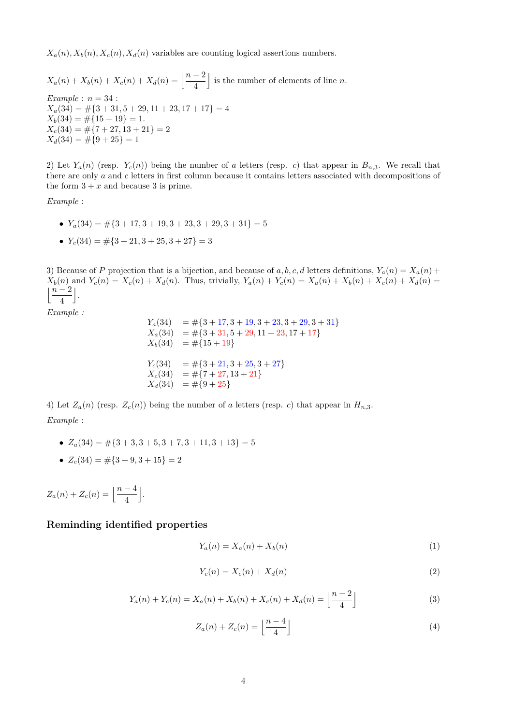$X_a(n), X_b(n), X_c(n), X_d(n)$  variables are counting logical assertions numbers.

 $X_a(n) + X_b(n) + X_c(n) + X_d(n) = \left\lfloor \frac{n-2}{4} \right\rfloor$ is the number of elements of line  $n$ . *Example* : *n* = 34 :  $X_a(34) = \#\{3 + 31, 5 + 29, 11 + 23, 17 + 17\} = 4$  $X_b(34) = \#\{15 + 19\} = 1.$  $X_c(34) = \#\{7 + 27, 13 + 21\} = 2$  $X_d(34) = \#\{9+25\} = 1$ 

2) Let  $Y_a(n)$  (resp.  $Y_c(n)$ ) being the number of *a* letters (resp. *c*) that appear in  $B_{n,3}$ . We recall that there are only *a* and *c* letters in first column because it contains letters associated with decompositions of the form  $3 + x$  and because 3 is prime.

*Example* :

- $Y_a(34) = \#\{3 + 17, 3 + 19, 3 + 23, 3 + 29, 3 + 31\} = 5$
- $Y_c(34) = \#\{3 + 21, 3 + 25, 3 + 27\} = 3$

3) Because of *P* projection that is a bijection, and because of *a*, *b*, *c*, *d* letters definitions,  $Y_a(n) = X_a(n) + Y_a(n)$  $X_b(n)$  and  $Y_c(n) = X_c(n) + X_d(n)$ . Thus, trivially,  $Y_a(n) + Y_c(n) = X_a(n) + X_b(n) + X_c(n) + X_d(n) =$ j*n* − 2 4 k .

*Example :*

$$
Y_a(34) = #{3 + 17, 3 + 19, 3 + 23, 3 + 29, 3 + 31}
$$
  
\n
$$
X_a(34) = #{3 + 31, 5 + 29, 11 + 23, 17 + 17}
$$
  
\n
$$
X_b(34) = #{15 + 19}
$$
  
\n
$$
Y_c(34) = #{3 + 21, 3 + 25, 3 + 27}
$$
  
\n
$$
X_c(34) = #{7 + 27, 13 + 21}
$$
  
\n
$$
X_d(34) = #{9 + 25}
$$

4) Let  $Z_a(n)$  (resp.  $Z_c(n)$ ) being the number of *a* letters (resp. *c*) that appear in  $H_{n,3}$ . *Example* :

- $Z_a(34) = \#\{3+3, 3+5, 3+7, 3+11, 3+13\} = 5$
- $Z_c(34) = \#\{3+9,3+15\} = 2$

 $Z_a(n) + Z_c(n) = \left[\frac{n-4}{4}\right]$ k .

## **Reminding identified properties**

$$
Y_a(n) = X_a(n) + X_b(n)
$$
 (1)

$$
Y_c(n) = X_c(n) + X_d(n) \tag{2}
$$

$$
Y_a(n) + Y_c(n) = X_a(n) + X_b(n) + X_c(n) + X_d(n) = \left\lfloor \frac{n-2}{4} \right\rfloor
$$
\n(3)

$$
Z_a(n) + Z_c(n) = \left\lfloor \frac{n-4}{4} \right\rfloor \tag{4}
$$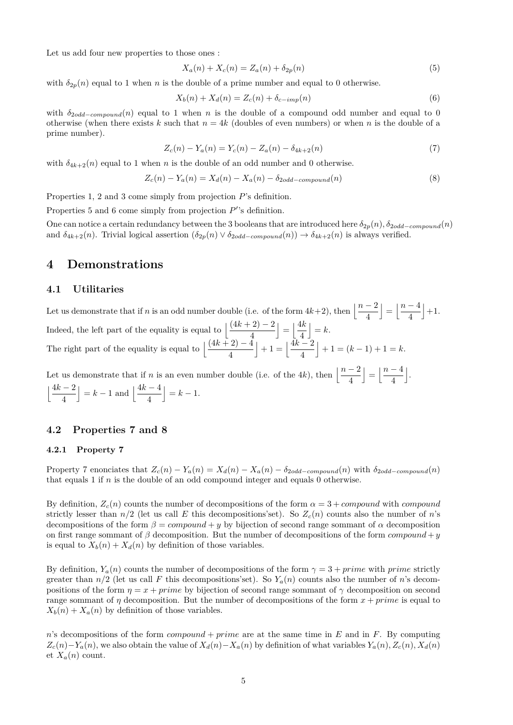Let us add four new properties to those ones :

$$
X_a(n) + X_c(n) = Z_a(n) + \delta_{2p}(n)
$$
\n(5)

with  $\delta_{2p}(n)$  equal to 1 when *n* is the double of a prime number and equal to 0 otherwise.

$$
X_b(n) + X_d(n) = Z_c(n) + \delta_{c-imp}(n)
$$
\n(6)

with  $\delta_{2odd-compound}(n)$  equal to 1 when *n* is the double of a compound odd number and equal to 0 otherwise (when there exists k such that  $n = 4k$  (doubles of even numbers) or when n is the double of a prime number).

$$
Z_c(n) - Y_a(n) = Y_c(n) - Z_a(n) - \delta_{4k+2}(n)
$$
\n(7)

with  $\delta_{4k+2}(n)$  equal to 1 when *n* is the double of an odd number and 0 otherwise.

$$
Z_c(n) - Y_a(n) = X_d(n) - X_a(n) - \delta_{2odd-compound}(n)
$$
\n
$$
(8)
$$

Properties 1, 2 and 3 come simply from projection *P*'s definition.

Properties 5 and 6 come simply from projection  $P$ <sup>'</sup>'s definition.

One can notice a certain redundancy between the 3 booleans that are introduced here  $\delta_{2p}(n)$ ,  $\delta_{2odd-componal}(n)$ and  $\delta_{4k+2}(n)$ . Trivial logical assertion  $(\delta_{2p}(n) \vee \delta_{2odd-componnd}(n)) \rightarrow \delta_{4k+2}(n)$  is always verified.

# **4 Demonstrations**

#### **4.1 Utilitaries**

Let us demonstrate that if *n* is an odd number double (i.e. of the form  $4k+2$ ), then  $\left\lfloor \frac{n-2}{4} \right\rfloor$  $\Big| = \Big| \frac{n-4}{4}$ 4  $|+1.$ Indeed, the left part of the equality is equal to  $\frac{(4k+2)-2}{4}$ 4  $\Big| = \Big| \frac{4k}{4}$ 4  $= k$ . The right part of the equality is equal to  $\frac{(4k+2)-4}{4}$ 4  $+1 = \frac{4k-2}{4}$ 4  $+1 = (k-1) + 1 = k.$ 

Let us demonstrate that if *n* is an even number double (i.e. of the 4*k*), then  $\left\lfloor \frac{n-2}{4} \right\rfloor$  $\vert = \vert \frac{n-4}{4} \vert$ 4 k .  $\frac{4k-2}{k}$ 4  $k-1$  and  $\frac{4k-4}{4}$ 4  $\Big| = k - 1.$ 

#### **4.2 Properties 7 and 8**

#### **4.2.1 Property 7**

Property 7 enonciates that  $Z_c(n) - Y_a(n) = X_d(n) - X_a(n) - \delta_{2odd-compound}(n)$  with  $\delta_{2odd-compound}(n)$ that equals 1 if *n* is the double of an odd compound integer and equals 0 otherwise.

By definition,  $Z_c(n)$  counts the number of decompositions of the form  $\alpha = 3 +$  *compound* with *compound* strictly lesser than  $n/2$  (let us call E this decompositions'set). So  $Z_c(n)$  counts also the number of *n*'s decompositions of the form  $\beta = compound + y$  by bijection of second range sommant of  $\alpha$  decomposition on first range sommant of  $\beta$  decomposition. But the number of decompositions of the form *compound* + *y* is equal to  $X_b(n) + X_d(n)$  by definition of those variables.

By definition,  $Y_a(n)$  counts the number of decompositions of the form  $\gamma = 3 + prime$  with *prime* strictly greater than  $n/2$  (let us call F this decompositions'set). So  $Y_a(n)$  counts also the number of *n*'s decompositions of the form  $\eta = x + prime$  by bijection of second range sommant of  $\gamma$  decomposition on second range sommant of *η* decomposition. But the number of decompositions of the form  $x + prime$  is equal to  $X_b(n) + X_a(n)$  by definition of those variables.

*n*'s decompositions of the form *compound* + *prime* are at the same time in *E* and in *F*. By computing  $Z_c(n) - Y_a(n)$ , we also obtain the value of  $X_d(n) - X_a(n)$  by definition of what variables  $Y_a(n), Z_c(n), X_d(n)$ et  $X_a(n)$  count.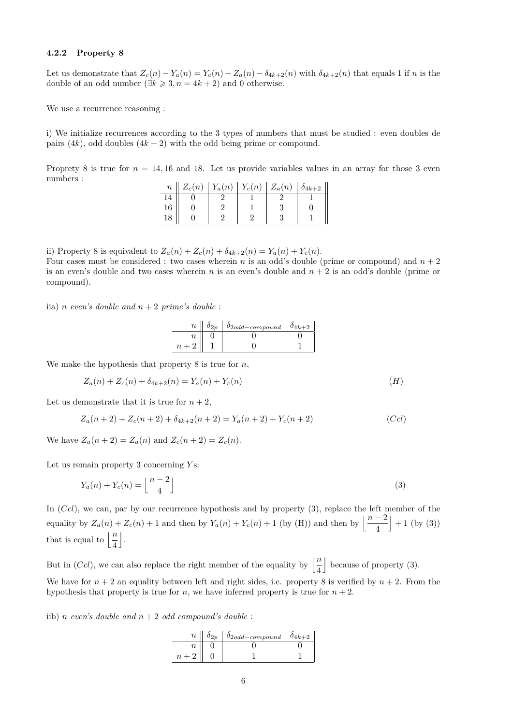#### **4.2.2 Property 8**

Let us demonstrate that  $Z_c(n) - Y_a(n) = Y_c(n) - Z_a(n) - \delta_{4k+2}(n)$  with  $\delta_{4k+2}(n)$  that equals 1 if n is the double of an odd number  $(\exists k \geq 3, n = 4k + 2)$  and 0 otherwise.

We use a recurrence reasoning :

i) We initialize recurrences according to the 3 types of numbers that must be studied : even doubles de pairs  $(4k)$ , odd doubles  $(4k + 2)$  with the odd being prime or compound.

Proprety 8 is true for  $n = 14, 16$  and 18. Let us provide variables values in an array for those 3 even numbers :

| $\it{n}$ | $Z_c(n)$ |  | $Y_a(n)   Y_c(n)   Z_a(n)$ | $\delta_{4k+2}$ |
|----------|----------|--|----------------------------|-----------------|
|          |          |  |                            |                 |
| 16       |          |  |                            |                 |
|          |          |  |                            |                 |

ii) Property 8 is equivalent to  $Z_a(n) + Z_c(n) + \delta_{4k+2}(n) = Y_a(n) + Y_c(n)$ .

Four cases must be considered : two cases wherein *n* is an odd's double (prime or compound) and  $n + 2$ is an even's double and two cases wherein *n* is an even's double and *n* + 2 is an odd's double (prime or compound).

iia) *n* even's double and  $n + 2$  prime's double:

| $\overline{n}$ | $\delta_{2odd-compound}$ | $0Ak+2$ |
|----------------|--------------------------|---------|
|                |                          |         |
|                |                          |         |

We make the hypothesis that property 8 is true for *n*,

$$
Z_a(n) + Z_c(n) + \delta_{4k+2}(n) = Y_a(n) + Y_c(n)
$$
\n<sup>(H)</sup>

Let us demonstrate that it is true for  $n + 2$ ,

$$
Z_a(n+2) + Z_c(n+2) + \delta_{4k+2}(n+2) = Y_a(n+2) + Y_c(n+2)
$$
\n(Ccl)

We have  $Z_a(n+2) = Z_a(n)$  and  $Z_c(n+2) = Z_c(n)$ .

Let us remain property 3 concerning *Y* s:

$$
Y_a(n) + Y_c(n) = \left\lfloor \frac{n-2}{4} \right\rfloor \tag{3}
$$

In (*Ccl*), we can, par by our recurrence hypothesis and by property (3), replace the left member of the equality by  $Z_a(n) + Z_c(n) + 1$  and then by  $Y_a(n) + Y_c(n) + 1$  (by (H)) and then by  $\left\lfloor \frac{n-2}{4} \right\rfloor$  $+1$  (by (3)) that is equal to  $\left\lfloor \frac{n}{4} \right\rfloor$  $\vert$ .

But in (*Ccl*), we can also replace the right member of the equality by  $\left\lfloor \frac{n}{4} \right\rfloor$  $\vert$  because of property (3). We have for  $n + 2$  an equality between left and right sides, i.e. property 8 is verified by  $n + 2$ . From the

hypothesis that property is true for *n*, we have inferred property is true for  $n + 2$ .

iib) *n even's double and*  $n + 2$  *odd compound's double*:

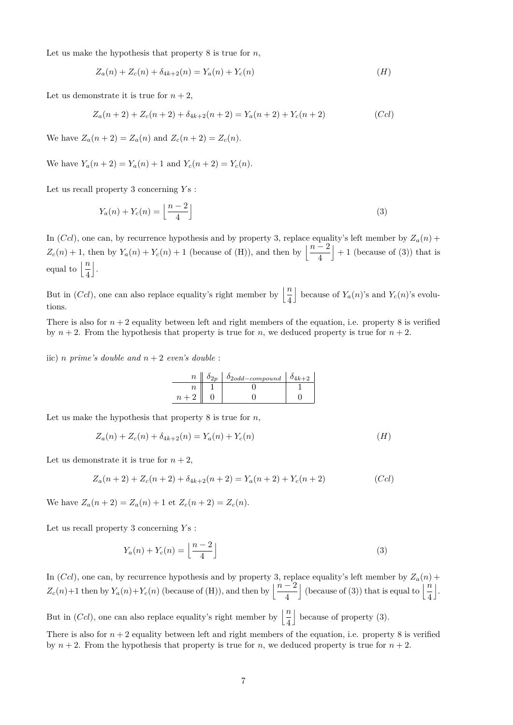Let us make the hypothesis that property 8 is true for *n*,

$$
Z_a(n) + Z_c(n) + \delta_{4k+2}(n) = Y_a(n) + Y_c(n)
$$
\n<sup>(H)</sup>

Let us demonstrate it is true for  $n + 2$ ,

$$
Z_a(n+2) + Z_c(n+2) + \delta_{4k+2}(n+2) = Y_a(n+2) + Y_c(n+2)
$$
\n(Ccl)

We have  $Z_a(n+2) = Z_a(n)$  and  $Z_c(n+2) = Z_c(n)$ .

We have  $Y_a(n+2) = Y_a(n) + 1$  and  $Y_c(n+2) = Y_c(n)$ .

Let us recall property 3 concerning *Y* s :

$$
Y_a(n) + Y_c(n) = \left\lfloor \frac{n-2}{4} \right\rfloor \tag{3}
$$

In  $(Ccl)$ , one can, by recurrence hypothesis and by property 3, replace equality's left member by  $Z_a(n)$  +  $Z_c(n) + 1$ , then by  $Y_a(n) + Y_c(n) + 1$  (because of (H)), and then by  $\left\lfloor \frac{n-2}{4} \right\rfloor$  $+1$  (because of (3)) that is equal to  $\left\lfloor \frac{n}{4} \right\rfloor$ k .

But in (*Ccl*), one can also replace equality's right member by  $\left\lfloor \frac{n}{4} \right\rfloor$ because of  $Y_a(n)$ 's and  $Y_c(n)$ 's evolutions.

There is also for  $n + 2$  equality between left and right members of the equation, i.e. property 8 is verified by  $n + 2$ . From the hypothesis that property is true for *n*, we deduced property is true for  $n + 2$ .

iic) *n prime's double and*  $n + 2$  *even's double*:

| $\it n$ | $\delta_{2odd-compound}$ | $4k+2$ |
|---------|--------------------------|--------|
|         |                          |        |
|         |                          |        |

Let us make the hypothesis that property 8 is true for *n*,

$$
Z_a(n) + Z_c(n) + \delta_{4k+2}(n) = Y_a(n) + Y_c(n)
$$
\n<sup>(H)</sup>

Let us demonstrate it is true for  $n + 2$ ,

$$
Z_a(n+2) + Z_c(n+2) + \delta_{4k+2}(n+2) = Y_a(n+2) + Y_c(n+2)
$$
\n(Ccl)

We have  $Z_a(n+2) = Z_a(n) + 1$  et  $Z_c(n+2) = Z_c(n)$ .

Let us recall property 3 concerning *Y* s :

$$
Y_a(n) + Y_c(n) = \left\lfloor \frac{n-2}{4} \right\rfloor \tag{3}
$$

In  $(Ccl)$ , one can, by recurrence hypothesis and by property 3, replace equality's left member by  $Z_a(n)$  +  $Z_c(n) + 1$  then by  $Y_a(n) + Y_c(n)$  (because of (H)), and then by  $\left\lfloor \frac{n-2}{4} \right\rfloor$ (because of (3)) that is equal to  $\left\lfloor \frac{n}{4} \right\rfloor$ k .

But in (*Ccl*), one can also replace equality's right member by  $\left\lfloor \frac{n}{4} \right\rfloor$  $\vert$  because of property (3).

There is also for  $n + 2$  equality between left and right members of the equation, i.e. property 8 is verified by  $n + 2$ . From the hypothesis that property is true for *n*, we deduced property is true for  $n + 2$ .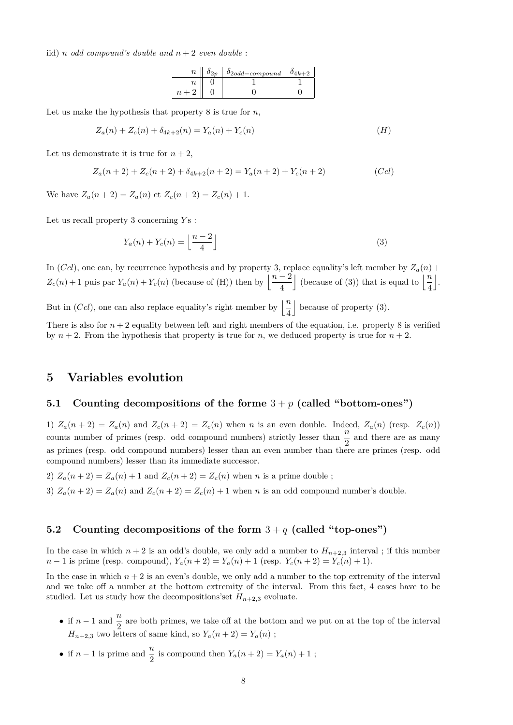iid) *n odd* compound's double and  $n + 2$  *even double*:

| $\, n$           | $\vert$ $\delta_{2odd-compound}$ | $0_{4k+2}$ |
|------------------|----------------------------------|------------|
|                  |                                  |            |
| $\boldsymbol{v}$ |                                  |            |

Let us make the hypothesis that property 8 is true for *n*,

$$
Z_a(n) + Z_c(n) + \delta_{4k+2}(n) = Y_a(n) + Y_c(n)
$$
\n<sup>(H)</sup>

Let us demonstrate it is true for  $n + 2$ ,

$$
Z_a(n+2) + Z_c(n+2) + \delta_{4k+2}(n+2) = Y_a(n+2) + Y_c(n+2)
$$
 (Ccl)

We have  $Z_a(n+2) = Z_a(n)$  et  $Z_c(n+2) = Z_c(n) + 1$ .

Let us recall property 3 concerning  $Y_s$ :

$$
Y_a(n) + Y_c(n) = \left\lfloor \frac{n-2}{4} \right\rfloor \tag{3}
$$

In  $(Ccl)$ , one can, by recurrence hypothesis and by property 3, replace equality's left member by  $Z_a(n)$  +  $Z_c(n) + 1$  puis par  $Y_a(n) + Y_c(n)$  (because of (H)) then by  $\left\lfloor \frac{n-2}{4} \right\rfloor$ (because of (3)) that is equal to  $\left\lfloor \frac{n}{4} \right\rfloor$ k . But in (*Ccl*), one can also replace equality's right member by  $\left\lfloor \frac{n}{4} \right\rfloor$  $\vert$  because of property (3).

There is also for  $n + 2$  equality between left and right members of the equation, i.e. property 8 is verified by  $n + 2$ . From the hypothesis that property is true for *n*, we deduced property is true for  $n + 2$ .

# **5 Variables evolution**

## **5.1 Counting decompositions of the forme** 3 + *p* **(called "bottom-ones")**

1)  $Z_a(n+2) = Z_a(n)$  and  $Z_c(n+2) = Z_c(n)$  when n is an even double. Indeed,  $Z_a(n)$  (resp.  $Z_c(n)$ ) counts number of primes (resp. odd compound numbers) strictly lesser than  $\frac{n}{2}$  and there are as many as primes (resp. odd compound numbers) lesser than an even number than there are primes (resp. odd compound numbers) lesser than its immediate successor.

2)  $Z_a(n+2) = Z_a(n) + 1$  and  $Z_c(n+2) = Z_c(n)$  when *n* is a prime double ;

3)  $Z_a(n+2) = Z_a(n)$  and  $Z_c(n+2) = Z_c(n) + 1$  when *n* is an odd compound number's double.

## **5.2 Counting decompositions of the form** 3 + *q* **(called "top-ones")**

In the case in which  $n+2$  is an odd's double, we only add a number to  $H_{n+2,3}$  interval; if this number *n* − 1 is prime (resp. compound),  $Y_a(n+2) = Y_a(n) + 1$  (resp.  $Y_c(n+2) = Y_c(n) + 1$ ).

In the case in which  $n + 2$  is an even's double, we only add a number to the top extremity of the interval and we take off a number at the bottom extremity of the interval. From this fact, 4 cases have to be studied. Let us study how the decompositions'set  $H_{n+2,3}$  evoluate.

- if  $n-1$  and  $\frac{n}{2}$  are both primes, we take off at the bottom and we put on at the top of the interval  $H_{n+2,3}$  two letters of same kind, so  $Y_a(n+2) = Y_a(n)$ ;
- if  $n-1$  is prime and  $\frac{n}{2}$  is compound then  $Y_a(n+2) = Y_a(n) + 1$ ;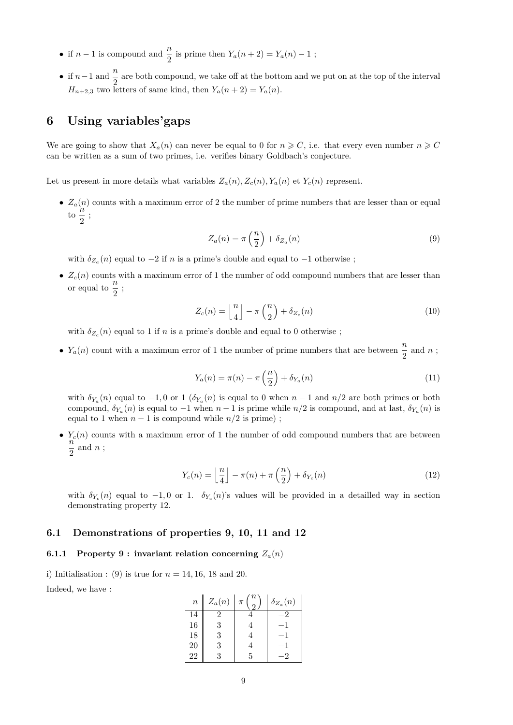- if  $n-1$  is compound and  $\frac{n}{2}$  is prime then  $Y_a(n+2) = Y_a(n) 1$ ;
- if  $n-1$  and  $\frac{n}{2}$  are both compound, we take off at the bottom and we put on at the top of the interval  $H_{n+2,3}$  two letters of same kind, then  $Y_a(n+2) = Y_a(n)$ .

# **6 Using variables'gaps**

We are going to show that  $X_a(n)$  can never be equal to 0 for  $n \geq C$ , i.e. that every even number  $n \geq C$ can be written as a sum of two primes, i.e. verifies binary Goldbach's conjecture.

Let us present in more details what variables  $Z_a(n)$ ,  $Z_c(n)$ ,  $Y_a(n)$  et  $Y_c(n)$  represent.

•  $Z_a(n)$  counts with a maximum error of 2 the number of prime numbers that are lesser than or equal  $\frac{u}{10}$   $\frac{n}{2}$  $\frac{\pi}{2}$ ;

$$
Z_a(n) = \pi \left(\frac{n}{2}\right) + \delta_{Z_a}(n) \tag{9}
$$

with  $\delta_{Z_a}(n)$  equal to  $-2$  if *n* is a prime's double and equal to  $-1$  otherwise ;

•  $Z_c(n)$  counts with a maximum error of 1 the number of odd compound numbers that are lesser than or equal to  $\frac{n}{2}$ ;

$$
Z_c(n) = \left\lfloor \frac{n}{4} \right\rfloor - \pi \left( \frac{n}{2} \right) + \delta_{Z_c}(n) \tag{10}
$$

with  $\delta_{Z_c}(n)$  equal to 1 if *n* is a prime's double and equal to 0 otherwise ;

•  $Y_a(n)$  count with a maximum error of 1 the number of prime numbers that are between  $\frac{n}{2}$  and *n*;

$$
Y_a(n) = \pi(n) - \pi\left(\frac{n}{2}\right) + \delta_{Y_a}(n) \tag{11}
$$

with  $\delta_{Y_a}(n)$  equal to  $-1,0$  or 1 ( $\delta_{Y_a}(n)$  is equal to 0 when  $n-1$  and  $n/2$  are both primes or both compound,  $\delta_{Y_a}(n)$  is equal to −1 when *n* − 1 is prime while *n/*2 is compound, and at last,  $\delta_{Y_a}(n)$  is equal to 1 when  $n-1$  is compound while  $n/2$  is prime);

•  $Y_c(n)$  counts with a maximum error of 1 the number of odd compound numbers that are between *n*  $\frac{\pi}{2}$  and *n*;

$$
Y_c(n) = \left\lfloor \frac{n}{4} \right\rfloor - \pi(n) + \pi\left(\frac{n}{2}\right) + \delta_{Y_c}(n) \tag{12}
$$

with  $\delta_{Y_c}(n)$  equal to  $-1, 0$  or 1.  $\delta_{Y_c}(n)$ 's values will be provided in a detailled way in section demonstrating property 12.

## **6.1 Demonstrations of properties 9, 10, 11 and 12**

#### **6.1.1** Property 9 : invariant relation concerning  $Z_a(n)$

i) Initialisation : (9) is true for  $n = 14, 16, 18$  and 20.

Indeed, we have :

| $\boldsymbol{n}$ | $Z_a(n)$ | $\pi$ | $\delta_{Z_a}(n)$ |
|------------------|----------|-------|-------------------|
| 14               |          |       |                   |
| 16               | 2        |       |                   |
| 18               | ર        |       |                   |
| 20               |          |       |                   |
| 22               |          |       |                   |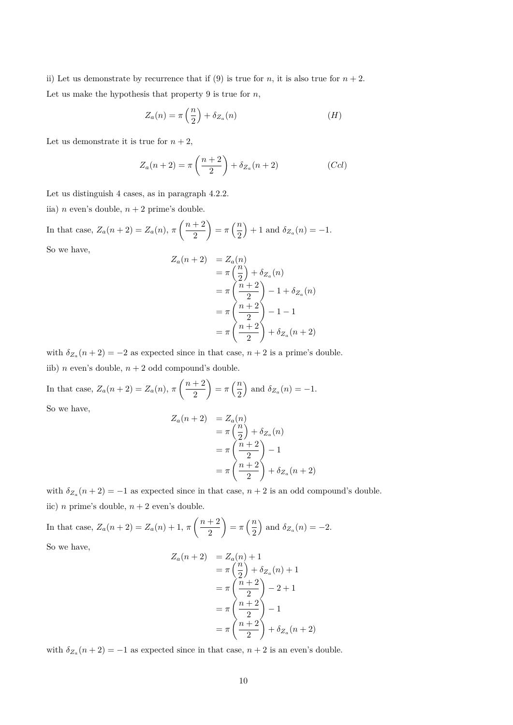ii) Let us demonstrate by recurrence that if (9) is true for *n*, it is also true for  $n + 2$ . Let us make the hypothesis that property 9 is true for *n*,

$$
Z_a(n) = \pi\left(\frac{n}{2}\right) + \delta_{Z_a}(n) \tag{H}
$$

Let us demonstrate it is true for  $n + 2$ ,

$$
Z_a(n+2) = \pi \left(\frac{n+2}{2}\right) + \delta_{Z_a}(n+2)
$$
 (Ccl)

Let us distinguish 4 cases, as in paragraph 4.2.2.

iia) *n* even's double,  $n + 2$  prime's double.

In that case, 
$$
Z_a(n+2) = Z_a(n)
$$
,  $\pi\left(\frac{n+2}{2}\right) = \pi\left(\frac{n}{2}\right) + 1$  and  $\delta_{Z_a}(n) = -1$ .

So we have,

$$
Z_a(n+2) = Z_a(n)
$$
  
=  $\pi \left(\frac{n}{2}\right) + \delta_{Z_a}(n)$   
=  $\pi \left(\frac{n+2}{2}\right) - 1 + \delta_{Z_a}(n)$   
=  $\pi \left(\frac{n+2}{2}\right) - 1 - 1$   
=  $\pi \left(\frac{n+2}{2}\right) + \delta_{Z_a}(n+2)$ 

with  $\delta_{Z_a}(n+2) = -2$  as expected since in that case,  $n+2$  is a prime's double. iib) *n* even's double,  $n + 2$  odd compound's double.

In that case,  $Z_a(n+2) = Z_a(n), \pi\left(\frac{n+2}{2}\right)$ 2  $= \pi \left(\frac{n}{2}\right)$ 2 ) and  $\delta_{Z_a}(n) = -1$ .

 $Z_a(n)$ 

So we have,

$$
(n+2) = Z_a(n)
$$
  
=  $\pi \left(\frac{n}{2}\right) + \delta_{Z_a}(n)$   
=  $\pi \left(\frac{n+2}{2}\right) - 1$   
=  $\pi \left(\frac{n+2}{2}\right) + \delta_{Z_a}(n+2)$ 

with  $\delta_{Z_a}(n+2) = -1$  as expected since in that case,  $n+2$  is an odd compound's double. iic) *n* prime's double,  $n + 2$  even's double.

In that case,  $Z_a(n+2) = Z_a(n) + 1, \pi \left( \frac{n+2}{2} \right)$ 2  $= \pi \left(\frac{n}{2}\right)$ 2 ) and  $\delta_{Z_a}(n) = -2$ .

So we have,

$$
Z_a(n+2) = Z_a(n) + 1
$$
  
=  $\pi \left(\frac{n}{2}\right) + \delta_{Z_a}(n) + 1$   
=  $\pi \left(\frac{n+2}{2}\right) - 2 + 1$   
=  $\pi \left(\frac{n+2}{2}\right) - 1$   
=  $\pi \left(\frac{n+2}{2}\right) + \delta_{Z_a}(n+2)$ 

with  $\delta_{Z_a}(n+2) = -1$  as expected since in that case,  $n+2$  is an even's double.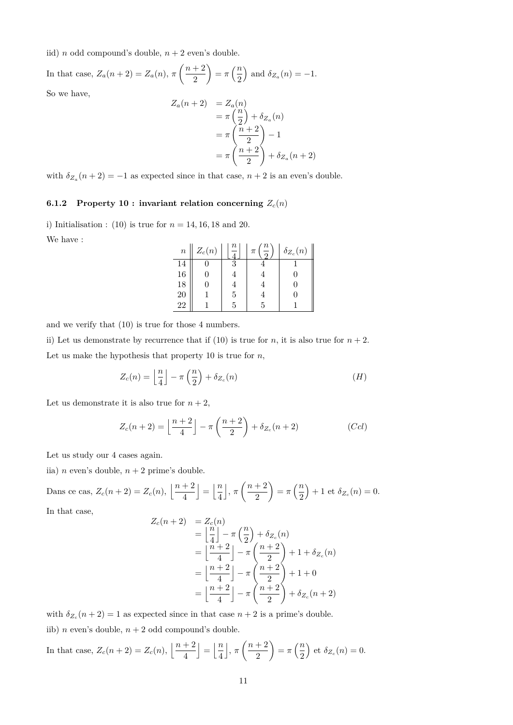iid) *n* odd compound's double,  $n + 2$  even's double.

In that case, 
$$
Z_a(n+2) = Z_a(n)
$$
,  $\pi\left(\frac{n+2}{2}\right) = \pi\left(\frac{n}{2}\right)$  and  $\delta_{Z_a}(n) = -1$ .

So we have,

$$
Z_a(n+2) = Z_a(n)
$$
  
=  $\pi \left(\frac{n}{2}\right) + \delta_{Z_a}(n)$   
=  $\pi \left(\frac{n+2}{2}\right) - 1$   
=  $\pi \left(\frac{n+2}{2}\right) + \delta_{Z_a}(n+2)$ 

with  $\delta_{Z_a}(n+2) = -1$  as expected since in that case,  $n+2$  is an even's double.

# **6.1.2** Property 10 : invariant relation concerning  $Z_c(n)$

i) Initialisation : (10) is true for  $n = 14, 16, 18$  and 20.

We have :

| $\, n$ | $Z_c(n)$ | Ίl | $\, n \,$<br>$\pi$ | $\delta_{Z_c}(n)$ |
|--------|----------|----|--------------------|-------------------|
| 14     |          |    |                    |                   |
| 16     |          |    |                    |                   |
| 18     |          |    |                    |                   |
| 20     |          | 5  |                    |                   |
| 22     |          | Б  | ь                  |                   |

and we verify that (10) is true for those 4 numbers.

ii) Let us demonstrate by recurrence that if (10) is true for *n*, it is also true for  $n + 2$ . Let us make the hypothesis that property 10 is true for *n*,

$$
Z_c(n) = \left\lfloor \frac{n}{4} \right\rfloor - \pi \left( \frac{n}{2} \right) + \delta_{Z_c}(n) \tag{H}
$$

Let us demonstrate it is also true for  $n + 2$ ,

$$
Z_c(n+2) = \left\lfloor \frac{n+2}{4} \right\rfloor - \pi \left( \frac{n+2}{2} \right) + \delta_{Z_c}(n+2)
$$
 (Ccl)

Let us study our 4 cases again.

iia) *n* even's double,  $n + 2$  prime's double.

$$
\text{Dans ce cas, } Z_c(n+2) = Z_c(n), \left\lfloor \frac{n+2}{4} \right\rfloor = \left\lfloor \frac{n}{4} \right\rfloor, \pi \left( \frac{n+2}{2} \right) = \pi \left( \frac{n}{2} \right) + 1 \text{ et } \delta_{Z_c}(n) = 0.
$$

In that case,

$$
Z_c(n+2) = Z_c(n)
$$
  
=  $\left\lfloor \frac{n}{4} \right\rfloor - \pi \left( \frac{n}{2} \right) + \delta_{Z_c}(n)$   
=  $\left\lfloor \frac{n+2}{4} \right\rfloor - \pi \left( \frac{n+2}{2} \right) + 1 + \delta_{Z_c}(n)$   
=  $\left\lfloor \frac{n+2}{4} \right\rfloor - \pi \left( \frac{n+2}{2} \right) + 1 + 0$   
=  $\left\lfloor \frac{n+2}{4} \right\rfloor - \pi \left( \frac{n+2}{2} \right) + \delta_{Z_c}(n+2)$ 

with  $\delta_{Z_c}(n+2) = 1$  as expected since in that case  $n+2$  is a prime's double. iib) *n* even's double,  $n + 2$  odd compound's double.

In that case, 
$$
Z_c(n+2) = Z_c(n)
$$
,  $\left\lfloor \frac{n+2}{4} \right\rfloor = \left\lfloor \frac{n}{4} \right\rfloor$ ,  $\pi \left( \frac{n+2}{2} \right) = \pi \left( \frac{n}{2} \right)$  et  $\delta_{Z_c}(n) = 0$ .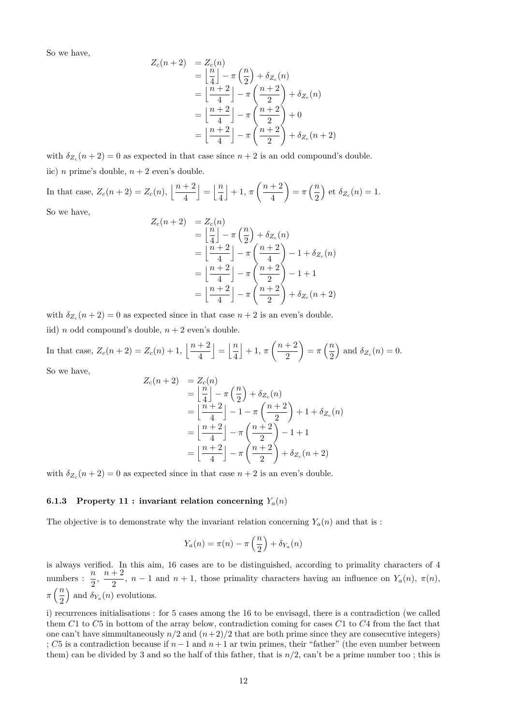$$
Z_c(n+2) = Z_c(n)
$$
  
=  $\left\lfloor \frac{n}{4} \right\rfloor - \pi \left( \frac{n}{2} \right) + \delta_{Z_c}(n)$   
=  $\left\lfloor \frac{n+2}{4} \right\rfloor - \pi \left( \frac{n+2}{2} \right) + \delta_{Z_c}(n)$   
=  $\left\lfloor \frac{n+2}{4} \right\rfloor - \pi \left( \frac{n+2}{2} \right) + 0$   
=  $\left\lfloor \frac{n+2}{4} \right\rfloor - \pi \left( \frac{n+2}{2} \right) + \delta_{Z_c}(n+2)$ 

with  $\delta_{Z_c}(n+2) = 0$  as expected in that case since  $n+2$  is an odd compound's double. iic) *n* prime's double,  $n + 2$  even's double.

In that case,  $Z_c(n+2) = Z_c(n), \left| \frac{n+2}{4} \right|$ 4  $\vert = \vert \frac{n}{4} \vert$ 4  $\left| +1, \pi \left( \frac{n+2}{4} \right) \right|$ 4  $= \pi \left(\frac{n}{2}\right)$ 2 ) et  $\delta_{Z_c}(n) = 1$ .

So we have,

$$
Z_c(n+2) = Z_c(n)
$$
  
=  $\left\lfloor \frac{n}{4} \right\rfloor - \pi \left( \frac{n}{2} \right) + \delta_{Z_c}(n)$   
=  $\left\lfloor \frac{n+2}{4} \right\rfloor - \pi \left( \frac{n+2}{4} \right) - 1 + \delta_{Z_c}(n)$   
=  $\left\lfloor \frac{n+2}{4} \right\rfloor - \pi \left( \frac{n+2}{2} \right) - 1 + 1$   
=  $\left\lfloor \frac{n+2}{4} \right\rfloor - \pi \left( \frac{n+2}{2} \right) + \delta_{Z_c}(n+2)$ 

with  $\delta_{Z_c}(n+2) = 0$  as expected since in that case  $n+2$  is an even's double.

iid) *n* odd compound's double,  $n + 2$  even's double.

In that case, 
$$
Z_c(n+2) = Z_c(n) + 1
$$
,  $\left\lfloor \frac{n+2}{4} \right\rfloor = \left\lfloor \frac{n}{4} \right\rfloor + 1$ ,  $\pi\left(\frac{n+2}{2}\right) = \pi\left(\frac{n}{2}\right)$  and  $\delta_{Z_c}(n) = 0$ .

So we have,

$$
Z_c(n+2) = Z_c(n)
$$
  
=  $\left\lfloor \frac{n}{4} \right\rfloor - \pi \left( \frac{n}{2} \right) + \delta_{Z_c}(n)$   
=  $\left\lfloor \frac{n+2}{4} \right\rfloor - 1 - \pi \left( \frac{n+2}{2} \right) + 1 + \delta_{Z_c}(n)$   
=  $\left\lfloor \frac{n+2}{4} \right\rfloor - \pi \left( \frac{n+2}{2} \right) - 1 + 1$   
=  $\left\lfloor \frac{n+2}{4} \right\rfloor - \pi \left( \frac{n+2}{2} \right) + \delta_{Z_c}(n+2)$ 

with  $\delta_{Z_c}(n+2) = 0$  as expected since in that case  $n+2$  is an even's double.

#### **6.1.3** Property 11 : invariant relation concerning  $Y_a(n)$

The objective is to demonstrate why the invariant relation concerning  $Y_a(n)$  and that is :

$$
Y_a(n) = \pi(n) - \pi\left(\frac{n}{2}\right) + \delta_{Y_a}(n)
$$

is always verified. In this aim, 16 cases are to be distinguished, according to primality characters of 4 numbers :  $\frac{n}{2}$ ,  $\frac{n+2}{2}$  $\frac{1}{2}$ , *n* − 1 and *n* + 1, those primality characters having an influence on *Y<sub>a</sub>*(*n*),  $\pi$ (*n*),  $\pi\left(\frac{n}{2}\right)$ 2 ) and  $\delta_{Y_a}(n)$  evolutions.

i) recurrences initialisations : for 5 cases among the 16 to be envisagd, there is a contradiction (we called them *C*1 to *C*5 in bottom of the array below, contradiction coming for cases *C*1 to *C*4 from the fact that one can't have simmultaneously  $n/2$  and  $(n+2)/2$  that are both prime since they are consecutive integers) ; *C*5 is a contradiction because if *n*−1 and *n*+ 1 ar twin primes, their "father" (the even number between them) can be divided by 3 and so the half of this father, that is *n/*2, can't be a prime number too ; this is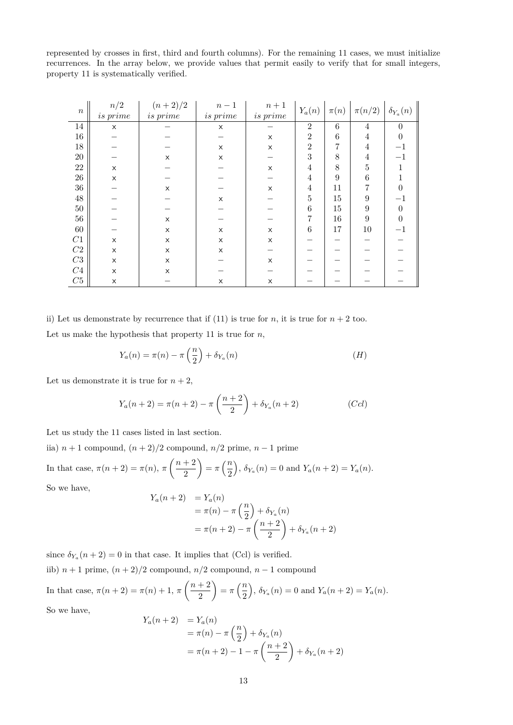represented by crosses in first, third and fourth columns). For the remaining 11 cases, we must initialize recurrences. In the array below, we provide values that permit easily to verify that for small integers, property 11 is systematically verified.

| $\, n$      | n/2      | $(n+2)/2$ | $n-1$         | $\sqrt{n}+1$   | $Y_a(n)$       | $\pi(n)$ | $\pi(n/2)$     | $\delta_{Y_a}(n)$ |
|-------------|----------|-----------|---------------|----------------|----------------|----------|----------------|-------------------|
|             | is prime | is prime  | $\ is\ prime$ | $\ is \ prime$ |                |          |                |                   |
| 14          | X        |           | X             |                | $\overline{2}$ | $\,6$    | $\overline{4}$ | $\theta$          |
| $16\,$      |          |           |               | X              | $\overline{2}$ | 6        | 4              | $\theta$          |
| 18          |          |           | X             | X              | $\overline{2}$ | 7        | 4              | $^{\rm -1}$       |
| $20\,$      |          | X         | X             |                | 3              | 8        | 4              | $^{-1}$           |
| $22\,$      | X        |           |               | X              | 4              | 8        | 5              | 1                 |
| $26\,$      | X        |           |               |                | 4              | 9        | 6              |                   |
| $36\,$      |          | X         |               | X              | 4              | 11       | 7              | 0                 |
| $48\,$      |          |           | X             |                | 5              | $15\,$   | 9              | $^{-1}$           |
| $50\,$      |          |           |               |                | 6              | $15\,$   | 9              | $\theta$          |
| $56\,$      |          | X         |               |                | 7              | 16       | 9              | $\theta$          |
| $60\,$      |          | $\times$  | X             | $\times$       | 6              | 17       | 10             | $-1$              |
| C1          | X        | X         | X             | X              |                |          |                |                   |
| ${\cal C}2$ | X        | X         | X             |                |                |          |                |                   |
| ${\cal C}3$ | X        | $\times$  |               | X              |                |          |                |                   |
| ${\cal C}4$ | X        | X         |               |                |                |          |                |                   |
| ${\cal C}5$ | X        |           | X             | X              |                |          |                |                   |

ii) Let us demonstrate by recurrence that if (11) is true for *n*, it is true for  $n + 2$  too. Let us make the hypothesis that property 11 is true for *n*,

$$
Y_a(n) = \pi(n) - \pi\left(\frac{n}{2}\right) + \delta_{Y_a}(n) \tag{H}
$$

Let us demonstrate it is true for  $n + 2$ ,

$$
Y_a(n+2) = \pi(n+2) - \pi\left(\frac{n+2}{2}\right) + \delta_{Y_a}(n+2)
$$
 (Ccl)

Let us study the 11 cases listed in last section.

iia)  $n + 1$  compound,  $(n + 2)/2$  compound,  $n/2$  prime,  $n - 1$  prime

In that case, 
$$
\pi(n+2) = \pi(n)
$$
,  $\pi\left(\frac{n+2}{2}\right) = \pi\left(\frac{n}{2}\right)$ ,  $\delta_{Y_a}(n) = 0$  and  $Y_a(n+2) = Y_a(n)$ .  
So we have

So we have,

$$
Y_a(n+2) = Y_a(n)
$$
  
=  $\pi(n) - \pi\left(\frac{n}{2}\right) + \delta_{Y_a}(n)$   
=  $\pi(n+2) - \pi\left(\frac{n+2}{2}\right) + \delta_{Y_a}(n+2)$ 

since  $\delta_{Y_a}(n+2) = 0$  in that case. It implies that (Ccl) is verified.

iib)  $n + 1$  prime,  $(n + 2)/2$  compound,  $n/2$  compound,  $n - 1$  compound

In that case, 
$$
\pi(n+2) = \pi(n) + 1
$$
,  $\pi\left(\frac{n+2}{2}\right) = \pi\left(\frac{n}{2}\right)$ ,  $\delta_{Y_a}(n) = 0$  and  $Y_a(n+2) = Y_a(n)$ .

So we have,

$$
Y_a(n+2) = Y_a(n)
$$
  
=  $\pi(n) - \pi\left(\frac{n}{2}\right) + \delta_{Y_a}(n)$   
=  $\pi(n+2) - 1 - \pi\left(\frac{n+2}{2}\right) + \delta_{Y_a}(n+2)$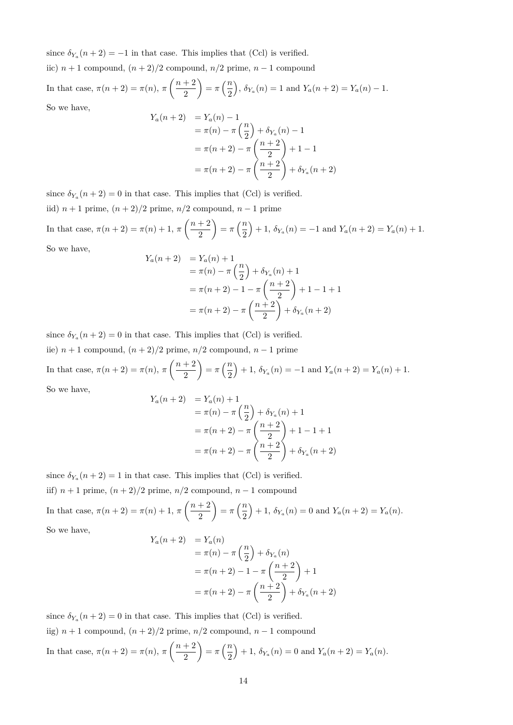since  $\delta_{Y_a}(n+2) = -1$  in that case. This implies that (Ccl) is verified.

iic)  $n+1$  compound,  $(n+2)/2$  compound,  $n/2$  prime,  $n-1$  compound

In that case, 
$$
\pi(n+2) = \pi(n)
$$
,  $\pi\left(\frac{n+2}{2}\right) = \pi\left(\frac{n}{2}\right)$ ,  $\delta_{Y_a}(n) = 1$  and  $Y_a(n+2) = Y_a(n) - 1$ .  
So we have

So we have,

$$
Y_a(n+2) = Y_a(n) - 1
$$
  
=  $\pi(n) - \pi\left(\frac{n}{2}\right) + \delta_{Y_a}(n) - 1$   
=  $\pi(n+2) - \pi\left(\frac{n+2}{2}\right) + 1 - 1$   
=  $\pi(n+2) - \pi\left(\frac{n+2}{2}\right) + \delta_{Y_a}(n+2)$ 

since  $\delta_{Y_a}(n+2) = 0$  in that case. This implies that (Ccl) is verified.

iid) *n* + 1 prime, (*n* + 2)*/*2 prime, *n/*2 compound, *n* − 1 prime

In that case,  $π(n+2) = π(n) + 1, π\left(\frac{n+2}{2}\right)$ 2  $= \pi \left(\frac{n}{2}\right)$ 2  $+ 1, \, \delta_{Y_a}(n) = -1 \text{ and } Y_a(n+2) = Y_a(n) + 1.$ 

So we have,

$$
Y_a(n+2) = Y_a(n) + 1
$$
  
=  $\pi(n) - \pi\left(\frac{n}{2}\right) + \delta_{Y_a}(n) + 1$   
=  $\pi(n+2) - 1 - \pi\left(\frac{n+2}{2}\right) + 1 - 1 + 1$   
=  $\pi(n+2) - \pi\left(\frac{n+2}{2}\right) + \delta_{Y_a}(n+2)$ 

since  $\delta_{Y_a}(n+2) = 0$  in that case. This implies that (Ccl) is verified. iie)  $n + 1$  compound,  $(n + 2)/2$  prime,  $n/2$  compound,  $n - 1$  prime

In that case,  $\pi(n+2) = \pi(n), \pi\left(\frac{n+2}{2}\right)$ 2  $= \pi \left(\frac{n}{2}\right)$ 2  $+ 1, \, \delta_{Y_a}(n) = -1 \text{ and } Y_a(n+2) = Y_a(n) + 1.$ 

So we have,

$$
Y_a(n+2) = Y_a(n) + 1
$$
  
=  $\pi(n) - \pi\left(\frac{n}{2}\right) + \delta_{Y_a}(n) + 1$   
=  $\pi(n+2) - \pi\left(\frac{n+2}{2}\right) + 1 - 1 + 1$   
=  $\pi(n+2) - \pi\left(\frac{n+2}{2}\right) + \delta_{Y_a}(n+2)$ 

since  $\delta_{Y_a}(n+2) = 1$  in that case. This implies that (Ccl) is verified.

iif)  $n + 1$  prime,  $(n + 2)/2$  prime,  $n/2$  compound,  $n - 1$  compound

In that case,  $\pi(n+2) = \pi(n) + 1, \pi\left(\frac{n+2}{2}\right)$ 2  $= \pi \left(\frac{n}{2}\right)$ 2  $+ 1, \, \delta_{Y_a}(n) = 0$  and  $Y_a(n+2) = Y_a(n)$ .

So we have,

$$
Y_a(n+2) = Y_a(n)
$$
  
=  $\pi(n) - \pi\left(\frac{n}{2}\right) + \delta_{Y_a}(n)$   
=  $\pi(n+2) - 1 - \pi\left(\frac{n+2}{2}\right) + 1$   
=  $\pi(n+2) - \pi\left(\frac{n+2}{2}\right) + \delta_{Y_a}(n+2)$ 

since  $\delta_{Y_a}(n+2) = 0$  in that case. This implies that (Ccl) is verified. iig)  $n + 1$  compound,  $(n + 2)/2$  prime,  $n/2$  compound,  $n - 1$  compound In that case,  $\pi(n+2) = \pi(n), \pi\left(\frac{n+2}{2}\right)$ 2  $= \pi \left(\frac{n}{2}\right)$ 2  $+ 1, \, \delta_{Y_a}(n) = 0$  and  $Y_a(n+2) = Y_a(n)$ .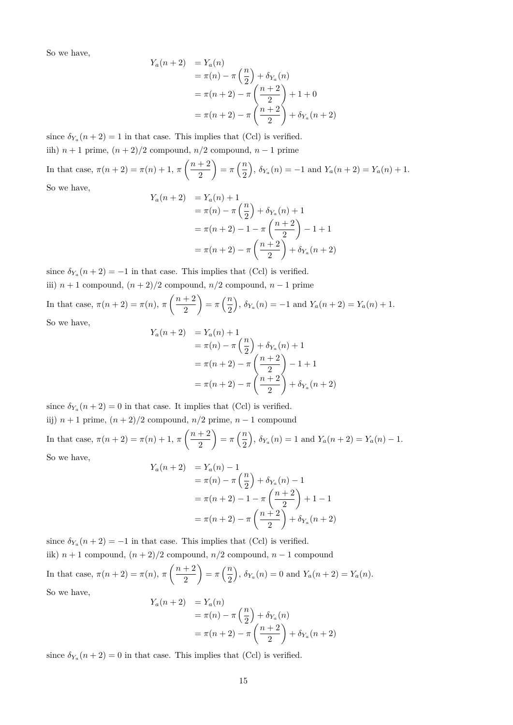$$
Y_a(n+2) = Y_a(n)
$$
  
=  $\pi(n) - \pi \left(\frac{n}{2}\right) + \delta_{Y_a}(n)$   
=  $\pi(n+2) - \pi \left(\frac{n+2}{2}\right) + 1 + 0$   
=  $\pi(n+2) - \pi \left(\frac{n+2}{2}\right) + \delta_{Y_a}(n+2)$ 

since  $\delta_{Y_a}(n+2) = 1$  in that case. This implies that (Ccl) is verified. iih)  $n + 1$  prime,  $(n + 2)/2$  compound,  $n/2$  compound,  $n - 1$  prime

In that case,  $\pi(n+2) = \pi(n) + 1, \pi\left(\frac{n+2}{2}\right)$ 2  $= \pi \left(\frac{n}{2}\right)$ 2  $\int$ ,  $\delta_{Y_a}(n) = -1$  and  $Y_a(n+2) = Y_a(n) + 1$ . So we have,

$$
Y_a(n+2) = Y_a(n) + 1
$$
  
=  $\pi(n) - \pi\left(\frac{n}{2}\right) + \delta_{Y_a}(n) + 1$   
=  $\pi(n+2) - 1 - \pi\left(\frac{n+2}{2}\right) - 1 + 1$   
=  $\pi(n+2) - \pi\left(\frac{n+2}{2}\right) + \delta_{Y_a}(n+2)$ 

since  $\delta_{Y_a}(n+2) = -1$  in that case. This implies that (Ccl) is verified. iii)  $n + 1$  compound,  $(n + 2)/2$  compound,  $n/2$  compound,  $n - 1$  prime

In that case, 
$$
\pi(n+2) = \pi(n)
$$
,  $\pi\left(\frac{n+2}{2}\right) = \pi\left(\frac{n}{2}\right)$ ,  $\delta_{Y_a}(n) = -1$  and  $Y_a(n+2) = Y_a(n) + 1$ .  
So we have,

$$
Y_a(n+2) = Y_a(n) + 1
$$
  
=  $\pi(n) - \pi\left(\frac{n}{2}\right) + \delta_{Y_a}(n) + 1$   
=  $\pi(n+2) - \pi\left(\frac{n+2}{2}\right) - 1 + 1$   
=  $\pi(n+2) - \pi\left(\frac{n+2}{2}\right) + \delta_{Y_a}(n+2)$ 

since  $\delta_{Y_a}(n+2) = 0$  in that case. It implies that (Ccl) is verified. iij)  $n + 1$  prime,  $(n + 2)/2$  compound,  $n/2$  prime,  $n - 1$  compound In that case,  $π(n+2) = π(n) + 1, π\left(\frac{n+2}{2}\right)$ 2  $=\pi\left(\frac{n}{2}\right)$ 2  $\int$ ,  $\delta_{Y_a}(n) = 1$  and  $Y_a(n+2) = Y_a(n) - 1$ .

So we have,

$$
Y_a(n+2) = Y_a(n) - 1
$$
  
=  $\pi(n) - \pi\left(\frac{n}{2}\right) + \delta_{Y_a}(n) - 1$   
=  $\pi(n+2) - 1 - \pi\left(\frac{n+2}{2}\right) + 1 - 1$   
=  $\pi(n+2) - \pi\left(\frac{n+2}{2}\right) + \delta_{Y_a}(n+2)$ 

since  $\delta_{Y_a}(n+2) = -1$  in that case. This implies that (Ccl) is verified. iik)  $n + 1$  compound,  $(n + 2)/2$  compound,  $n/2$  compound,  $n - 1$  compound In that case,  $\pi(n+2) = \pi(n), \pi\left(\frac{n+2}{2}\right)$ 2  $= \pi \left(\frac{n}{2}\right)$ 2  $\bigg), \delta_{Y_a}(n) = 0 \text{ and } Y_a(n+2) = Y_a(n).$ So we have,  $Y_a(n+2) = Y_a(n)$ 

$$
h+2) = Y_a(n)
$$
  
=  $\pi(n) - \pi\left(\frac{n}{2}\right) + \delta_{Y_a}(n)$   
=  $\pi(n+2) - \pi\left(\frac{n+2}{2}\right) + \delta_{Y_a}(n+2)$ 

since  $\delta_{Y_a}(n+2) = 0$  in that case. This implies that (Ccl) is verified.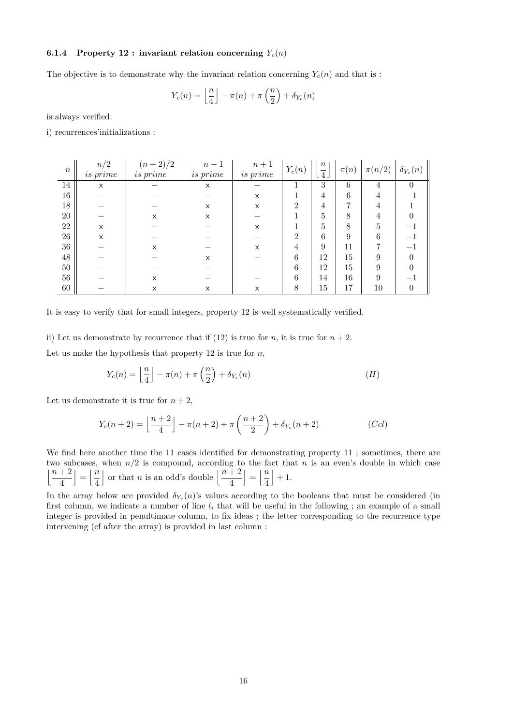#### **6.1.4** Property 12 : invariant relation concerning  $Y_c(n)$

The objective is to demonstrate why the invariant relation concerning  $Y_c(n)$  and that is :

$$
Y_c(n) = \left\lfloor \frac{n}{4} \right\rfloor - \pi(n) + \pi\left(\frac{n}{2}\right) + \delta_{Y_c}(n)
$$

is always verified.

i) recurrences'initializations :

| $\boldsymbol{n}$ | n/2<br><i>is prime</i> | $(n+2)/2$<br><i>is</i> prime | $n-1$<br>is prime | $n+1$<br>is prime | $Y_c(n)$ | $\,n$<br>$\lfloor \overline{4} \rfloor$ | $\pi(n)$ | $\pi(n/2)$ | $\delta_{Y_c}(n)$ |
|------------------|------------------------|------------------------------|-------------------|-------------------|----------|-----------------------------------------|----------|------------|-------------------|
| 14               | X                      |                              | X                 |                   |          | 3                                       | 6        | 4          | $\theta$          |
| 16               |                        |                              |                   | X                 |          | 4                                       | 6        | 4          |                   |
| 18               |                        |                              | X                 | X                 | 2        | 4                                       | 7        | 4          |                   |
| 20               |                        | X                            | X                 |                   |          | 5                                       | 8        |            |                   |
| 22               | X                      |                              |                   | X                 |          | 5                                       | 8        | 5          |                   |
| 26               | X                      |                              |                   |                   | 2        | 6                                       | 9        | 6          |                   |
| 36               |                        | X                            |                   | X                 | 4        | 9                                       | 11       |            |                   |
| 48               |                        |                              | X                 |                   | 6        | 12                                      | 15       | 9          |                   |
| 50               |                        |                              |                   |                   | 6        | 12                                      | 15       | 9          |                   |
| $56\,$           |                        | X                            |                   |                   | 6        | 14                                      | 16       | 9          |                   |
| 60               |                        | X                            | X                 | X                 | 8        | 15                                      | 17       | 10         |                   |

It is easy to verify that for small integers, property 12 is well systematically verified.

ii) Let us demonstrate by recurrence that if  $(12)$  is true for *n*, it is true for  $n + 2$ .

Let us make the hypothesis that property 12 is true for *n*,

$$
Y_c(n) = \left\lfloor \frac{n}{4} \right\rfloor - \pi(n) + \pi\left(\frac{n}{2}\right) + \delta_{Y_c}(n) \tag{H}
$$

Let us demonstrate it is true for  $n + 2$ ,

$$
Y_c(n+2) = \left\lfloor \frac{n+2}{4} \right\rfloor - \pi(n+2) + \pi \left( \frac{n+2}{2} \right) + \delta_{Y_c}(n+2)
$$
 (Ccl)

We find here another time the 11 cases identified for demonstrating property 11 ; sometimes, there are two subcases, when *n/*2 is compound, according to the fact that *n* is an even's double in which case  $\lfloor n+2\rfloor$ 4  $\vert = \vert \frac{n}{4} \vert$ 4 or that *n* is an odd's double  $\left\lfloor \frac{n+2}{4} \right\rfloor$  $\vert = \vert \frac{n}{4} \vert$ 4  $+1.$ 

In the array below are provided  $\delta_{Y_c}(n)$ 's values according to the booleans that must be considered (in first column, we indicate a number of line  $l_i$  that will be useful in the following ; an example of a small integer is provided in penultimate column, to fix ideas ; the letter corresponding to the recurrence type intervening (cf after the array) is provided in last column :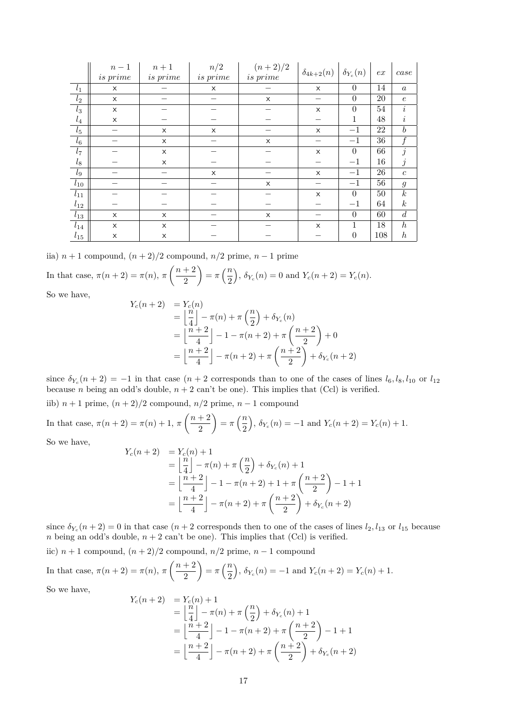|                  | $n-1$    | $n+1$           | n/2             | $(n+2)/2$ | $\delta_{4k+2}(n)$ | $\delta_{Y_c}(n)$ | ex     | case             |
|------------------|----------|-----------------|-----------------|-----------|--------------------|-------------------|--------|------------------|
|                  | is prime | <i>is</i> prime | <i>is</i> prime | is prime  |                    |                   |        |                  |
| $l_1$            | X        |                 | X               |           | X                  | $\theta$          | 14     | $\boldsymbol{a}$ |
| $\overline{l_2}$ | X        |                 |                 | X         |                    | $\theta$          | $20\,$ | $\epsilon$       |
| $l_3$            | X        |                 |                 |           | X                  | $\theta$          | 54     | i                |
| $\mathfrak{l}_4$ | X        |                 |                 |           |                    | 1                 | 48     | $\imath$         |
| $l_{\rm 5}$      |          | X               | $\times$        |           | $\times$           | $-1$              | 22     | $\boldsymbol{b}$ |
| $l_6$            |          | X               |                 | X         |                    | $-1$              | 36     |                  |
| $l_7$            |          | X               |                 |           | X                  | $\theta$          | 66     | j                |
| $l_8$            |          | X               |                 |           |                    | $-1$              | 16     | $\jmath$         |
| $l_9$            |          |                 | X               |           | X                  | $-1$              | 26     | $\boldsymbol{c}$ |
| $l_{10}$         |          |                 |                 | X         |                    | $-1$              | 56     | $\mathfrak{g}$   |
| $l_{11}$         |          |                 |                 |           | X                  | $\Omega$          | 50     | $\boldsymbol{k}$ |
| $l_{12}$         |          |                 |                 |           |                    | $-1$              | 64     | $\boldsymbol{k}$ |
| $l_{13}$         | X        | X               |                 | X         |                    | $\theta$          | 60     | $\boldsymbol{d}$ |
| $l_{14}$         | X        | X               |                 |           | X                  | 1                 | 18     | $\boldsymbol{h}$ |
| $l_{15}$         | X        | X               |                 |           |                    | $\theta$          | 108    | $\boldsymbol{h}$ |

iia)  $n + 1$  compound,  $(n + 2)/2$  compound,  $n/2$  prime,  $n - 1$  prime

In that case, 
$$
\pi(n+2) = \pi(n)
$$
,  $\pi\left(\frac{n+2}{2}\right) = \pi\left(\frac{n}{2}\right)$ ,  $\delta_{Y_c}(n) = 0$  and  $Y_c(n+2) = Y_c(n)$ .

So we have,

$$
Y_c(n+2) = Y_c(n)
$$
  
=  $\left\lfloor \frac{n}{4} \right\rfloor - \pi(n) + \pi \left( \frac{n}{2} \right) + \delta_{Y_c}(n)$   
=  $\left\lfloor \frac{n+2}{4} \right\rfloor - 1 - \pi(n+2) + \pi \left( \frac{n+2}{2} \right) + 0$   
=  $\left\lfloor \frac{n+2}{4} \right\rfloor - \pi(n+2) + \pi \left( \frac{n+2}{2} \right) + \delta_{Y_c}(n+2)$ 

since  $\delta_{Y_c}(n+2) = -1$  in that case  $(n+2$  corresponds than to one of the cases of lines  $l_6, l_8, l_{10}$  or  $l_{12}$ because *n* being an odd's double,  $n + 2$  can't be one). This implies that (Ccl) is verified.

iib)  $n + 1$  prime,  $(n + 2)/2$  compound,  $n/2$  prime,  $n - 1$  compound

In that case, 
$$
\pi(n+2) = \pi(n) + 1
$$
,  $\pi\left(\frac{n+2}{2}\right) = \pi\left(\frac{n}{2}\right)$ ,  $\delta_{Y_c}(n) = -1$  and  $Y_c(n+2) = Y_c(n) + 1$ .

So we have,

$$
Y_c(n+2) = Y_c(n) + 1
$$
  
=  $\left\lfloor \frac{n}{4} \right\rfloor - \pi(n) + \pi\left(\frac{n}{2}\right) + \delta_{Y_c}(n) + 1$   
=  $\left\lfloor \frac{n+2}{4} \right\rfloor - 1 - \pi(n+2) + 1 + \pi\left(\frac{n+2}{2}\right) - 1 + 1$   
=  $\left\lfloor \frac{n+2}{4} \right\rfloor - \pi(n+2) + \pi\left(\frac{n+2}{2}\right) + \delta_{Y_c}(n+2)$ 

since  $\delta_{Y_c}(n+2) = 0$  in that case  $(n+2$  corresponds then to one of the cases of lines  $l_2, l_{13}$  or  $l_{15}$  because *n* being an odd's double,  $n + 2$  can't be one). This implies that (Ccl) is verified.

iic)  $n + 1$  compound,  $(n + 2)/2$  compound,  $n/2$  prime,  $n - 1$  compound

In that case, 
$$
\pi(n+2) = \pi(n)
$$
,  $\pi\left(\frac{n+2}{2}\right) = \pi\left(\frac{n}{2}\right)$ ,  $\delta_{Y_c}(n) = -1$  and  $Y_c(n+2) = Y_c(n) + 1$ .

So we have,

$$
Y_c(n+2) = Y_c(n) + 1
$$
  
=  $\left\lfloor \frac{n}{4} \right\rfloor - \pi(n) + \pi\left(\frac{n}{2}\right) + \delta_{Y_c}(n) + 1$   
=  $\left\lfloor \frac{n+2}{4} \right\rfloor - 1 - \pi(n+2) + \pi\left(\frac{n+2}{2}\right) - 1 + 1$   
=  $\left\lfloor \frac{n+2}{4} \right\rfloor - \pi(n+2) + \pi\left(\frac{n+2}{2}\right) + \delta_{Y_c}(n+2)$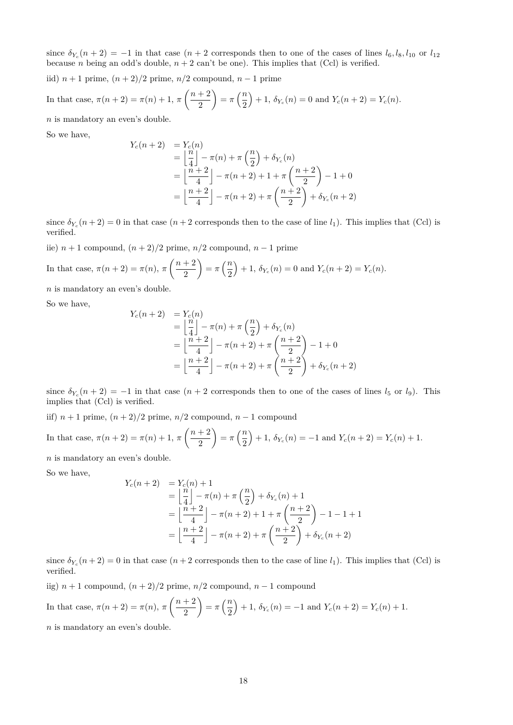since  $\delta_{Y_c}(n+2) = -1$  in that case  $(n+2$  corresponds then to one of the cases of lines  $l_6, l_8, l_{10}$  or  $l_{12}$ because *n* being an odd's double,  $n + 2$  can't be one). This implies that (Ccl) is verified.

iid) *n* + 1 prime, (*n* + 2)*/*2 prime, *n/*2 compound, *n* − 1 prime

In that case, 
$$
\pi(n+2) = \pi(n) + 1
$$
,  $\pi\left(\frac{n+2}{2}\right) = \pi\left(\frac{n}{2}\right) + 1$ ,  $\delta_{Y_c}(n) = 0$  and  $Y_c(n+2) = Y_c(n)$ .

*n* is mandatory an even's double.

So we have,

$$
Y_c(n+2) = Y_c(n)
$$
  
=  $\left\lfloor \frac{n}{4} \right\rfloor - \pi(n) + \pi \left( \frac{n}{2} \right) + \delta_{Y_c}(n)$   
=  $\left\lfloor \frac{n+2}{4} \right\rfloor - \pi(n+2) + 1 + \pi \left( \frac{n+2}{2} \right) - 1 + 0$   
=  $\left\lfloor \frac{n+2}{4} \right\rfloor - \pi(n+2) + \pi \left( \frac{n+2}{2} \right) + \delta_{Y_c}(n+2)$ 

since  $\delta_{Y_c}(n+2) = 0$  in that case  $(n+2$  corresponds then to the case of line  $l_1$ ). This implies that (Ccl) is verified.

iie)  $n + 1$  compound,  $(n + 2)/2$  prime,  $n/2$  compound,  $n - 1$  prime

In that case, 
$$
\pi(n+2) = \pi(n)
$$
,  $\pi\left(\frac{n+2}{2}\right) = \pi\left(\frac{n}{2}\right) + 1$ ,  $\delta_{Y_c}(n) = 0$  and  $Y_c(n+2) = Y_c(n)$ .

*n* is mandatory an even's double.

So we have,

$$
Y_c(n+2) = Y_c(n)
$$
  
=  $\left\lfloor \frac{n}{4} \right\rfloor - \pi(n) + \pi \left( \frac{n}{2} \right) + \delta_{Y_c}(n)$   
=  $\left\lfloor \frac{n+2}{4} \right\rfloor - \pi(n+2) + \pi \left( \frac{n+2}{2} \right) - 1 + 0$   
=  $\left\lfloor \frac{n+2}{4} \right\rfloor - \pi(n+2) + \pi \left( \frac{n+2}{2} \right) + \delta_{Y_c}(n+2)$ 

since  $\delta_{Y_c}(n+2) = -1$  in that case  $(n+2$  corresponds then to one of the cases of lines  $l_5$  or  $l_9$ ). This implies that (Ccl) is verified.

iif) *n* + 1 prime, (*n* + 2)*/*2 prime, *n/*2 compound, *n* − 1 compound

In that case, 
$$
\pi(n+2) = \pi(n) + 1
$$
,  $\pi\left(\frac{n+2}{2}\right) = \pi\left(\frac{n}{2}\right) + 1$ ,  $\delta_{Y_c}(n) = -1$  and  $Y_c(n+2) = Y_c(n) + 1$ .

*n* is mandatory an even's double.

So we have,

$$
Y_c(n+2) = Y_c(n) + 1
$$
  
=  $\left\lfloor \frac{n}{4} \right\rfloor - \pi(n) + \pi\left(\frac{n}{2}\right) + \delta_{Y_c}(n) + 1$   
=  $\left\lfloor \frac{n+2}{4} \right\rfloor - \pi(n+2) + 1 + \pi\left(\frac{n+2}{2}\right) - 1 - 1 + 1$   
=  $\left\lfloor \frac{n+2}{4} \right\rfloor - \pi(n+2) + \pi\left(\frac{n+2}{2}\right) + \delta_{Y_c}(n+2)$ 

since  $\delta_{Y_c}(n+2) = 0$  in that case  $(n+2$  corresponds then to the case of line  $l_1$ ). This implies that (Ccl) is verified.

iig) *n* + 1 compound, (*n* + 2)*/*2 prime, *n/*2 compound, *n* − 1 compound

In that case, 
$$
\pi(n+2) = \pi(n)
$$
,  $\pi\left(\frac{n+2}{2}\right) = \pi\left(\frac{n}{2}\right) + 1$ ,  $\delta_{Y_c}(n) = -1$  and  $Y_c(n+2) = Y_c(n) + 1$ .

*n* is mandatory an even's double.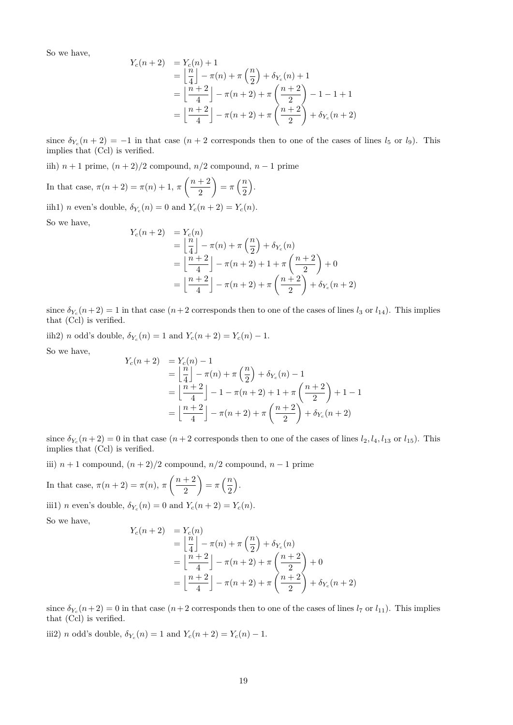$$
Y_c(n+2) = Y_c(n) + 1
$$
  
=  $\left\lfloor \frac{n}{4} \right\rfloor - \pi(n) + \pi\left(\frac{n}{2}\right) + \delta_{Y_c}(n) + 1$   
=  $\left\lfloor \frac{n+2}{4} \right\rfloor - \pi(n+2) + \pi\left(\frac{n+2}{2}\right) - 1 - 1 + 1$   
=  $\left\lfloor \frac{n+2}{4} \right\rfloor - \pi(n+2) + \pi\left(\frac{n+2}{2}\right) + \delta_{Y_c}(n+2)$ 

since  $\delta_{Y_c}(n+2) = -1$  in that case  $(n+2$  corresponds then to one of the cases of lines  $l_5$  or  $l_9$ ). This implies that (Ccl) is verified.

iih) *n* + 1 prime, (*n* + 2)*/*2 compound, *n/*2 compound, *n* − 1 prime

In that case,  $\pi(n+2) = \pi(n) + 1, \pi\left(\frac{n+2}{2}\right)$ 2  $= \pi \left(\frac{n}{2}\right)$ 2 .

iih1) *n* even's double,  $\delta_{Y_c}(n) = 0$  and  $Y_c(n+2) = Y_c(n)$ .

So we have,

$$
Y_c(n+2) = Y_c(n)
$$
  
=  $\left\lfloor \frac{n}{4} \right\rfloor - \pi(n) + \pi \left( \frac{n}{2} \right) + \delta_{Y_c}(n)$   
=  $\left\lfloor \frac{n+2}{4} \right\rfloor - \pi(n+2) + 1 + \pi \left( \frac{n+2}{2} \right) + 0$   
=  $\left\lfloor \frac{n+2}{4} \right\rfloor - \pi(n+2) + \pi \left( \frac{n+2}{2} \right) + \delta_{Y_c}(n+2)$ 

since  $\delta_{Y_c}(n+2) = 1$  in that case  $(n+2$  corresponds then to one of the cases of lines  $l_3$  or  $l_{14}$ ). This implies that (Ccl) is verified.

iih2) *n* odd's double,  $\delta_{Y_c}(n) = 1$  and  $Y_c(n+2) = Y_c(n) - 1$ .

So we have,

$$
Y_c(n+2) = Y_c(n) - 1
$$
  
=  $\left\lfloor \frac{n}{4} \right\rfloor - \pi(n) + \pi\left(\frac{n}{2}\right) + \delta_{Y_c}(n) - 1$   
=  $\left\lfloor \frac{n+2}{4} \right\rfloor - 1 - \pi(n+2) + 1 + \pi\left(\frac{n+2}{2}\right) + 1 - 1$   
=  $\left\lfloor \frac{n+2}{4} \right\rfloor - \pi(n+2) + \pi\left(\frac{n+2}{2}\right) + \delta_{Y_c}(n+2)$ 

since  $\delta_{Y_c}(n+2) = 0$  in that case  $(n+2$  corresponds then to one of the cases of lines  $l_2, l_4, l_{13}$  or  $l_{15}$ ). This implies that (Ccl) is verified.

iii) *n* + 1 compound, (*n* + 2)*/*2 compound, *n/*2 compound, *n* − 1 prime

In that case,  $\pi(n+2) = \pi(n), \pi\left(\frac{n+2}{2}\right)$ 2  $= \pi \left(\frac{n}{2}\right)$ 2 . iii1) *n* even's double,  $\delta_{Y_c}(n) = 0$  and  $Y_c(n+2) = Y_c(n)$ .

So we have,

$$
Y_c(n+2) = Y_c(n)
$$
  
=  $\left\lfloor \frac{n}{4} \right\rfloor - \pi(n) + \pi \left( \frac{n}{2} \right) + \delta_{Y_c}(n)$   
=  $\left\lfloor \frac{n+2}{4} \right\rfloor - \pi(n+2) + \pi \left( \frac{n+2}{2} \right) + 0$   
=  $\left\lfloor \frac{n+2}{4} \right\rfloor - \pi(n+2) + \pi \left( \frac{n+2}{2} \right) + \delta_{Y_c}(n+2)$ 

since  $\delta_{Y_c}(n+2) = 0$  in that case  $(n+2$  corresponds then to one of the cases of lines  $l_7$  or  $l_{11}$ ). This implies that (Ccl) is verified.

iii2) *n* odd's double,  $\delta_{Y_c}(n) = 1$  and  $Y_c(n+2) = Y_c(n) - 1$ .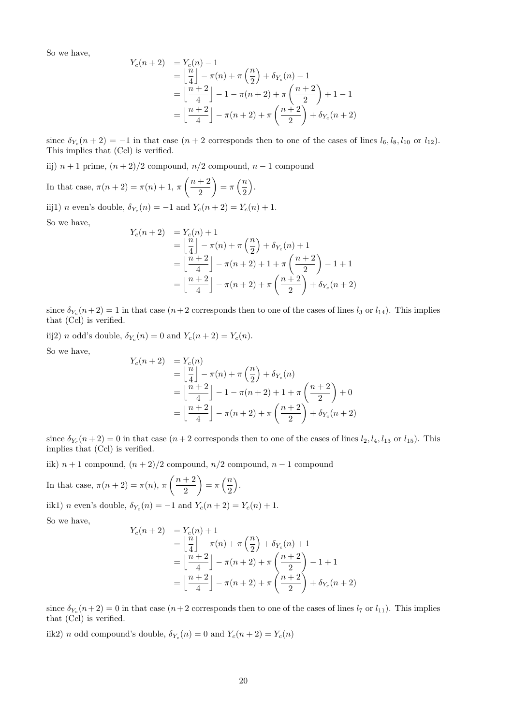$$
Y_c(n+2) = Y_c(n) - 1
$$
  
=  $\left\lfloor \frac{n}{4} \right\rfloor - \pi(n) + \pi\left(\frac{n}{2}\right) + \delta_{Y_c}(n) - 1$   
=  $\left\lfloor \frac{n+2}{4} \right\rfloor - 1 - \pi(n+2) + \pi\left(\frac{n+2}{2}\right) + 1 - 1$   
=  $\left\lfloor \frac{n+2}{4} \right\rfloor - \pi(n+2) + \pi\left(\frac{n+2}{2}\right) + \delta_{Y_c}(n+2)$ 

since  $\delta_{Y_c}(n+2) = -1$  in that case  $(n+2$  corresponds then to one of the cases of lines  $l_6, l_8, l_{10}$  or  $l_{12}$ ). This implies that (Ccl) is verified.

iij)  $n + 1$  prime,  $(n + 2)/2$  compound,  $n/2$  compound,  $n - 1$  compound

In that case,  $\pi(n+2) = \pi(n) + 1, \pi\left(\frac{n+2}{2}\right)$ 2  $= \pi \left(\frac{n}{2}\right)$ 2 .

iij1) *n* even's double,  $\delta_{Y_c}(n) = -1$  and  $Y_c(n+2) = Y_c(n) + 1$ .

So we have,

$$
Y_c(n+2) = Y_c(n) + 1
$$
  
=  $\left\lfloor \frac{n}{4} \right\rfloor - \pi(n) + \pi \left( \frac{n}{2} \right) + \delta_{Y_c}(n) + 1$   
=  $\left\lfloor \frac{n+2}{4} \right\rfloor - \pi(n+2) + 1 + \pi \left( \frac{n+2}{2} \right) - 1 + 1$   
=  $\left\lfloor \frac{n+2}{4} \right\rfloor - \pi(n+2) + \pi \left( \frac{n+2}{2} \right) + \delta_{Y_c}(n+2)$ 

since  $\delta_{Y_c}(n+2) = 1$  in that case  $(n+2$  corresponds then to one of the cases of lines  $l_3$  or  $l_{14}$ ). This implies that (Ccl) is verified.

iij2) *n* odd's double,  $\delta_{Y_c}(n) = 0$  and  $Y_c(n+2) = Y_c(n)$ .

So we have,

$$
Y_c(n+2) = Y_c(n)
$$
  
=  $\left\lfloor \frac{n}{4} \right\rfloor - \pi(n) + \pi \left( \frac{n}{2} \right) + \delta_{Y_c}(n)$   
=  $\left\lfloor \frac{n+2}{4} \right\rfloor - 1 - \pi(n+2) + 1 + \pi \left( \frac{n+2}{2} \right) + 0$   
=  $\left\lfloor \frac{n+2}{4} \right\rfloor - \pi(n+2) + \pi \left( \frac{n+2}{2} \right) + \delta_{Y_c}(n+2)$ 

since  $\delta_{Y_c}(n+2) = 0$  in that case  $(n+2$  corresponds then to one of the cases of lines  $l_2, l_4, l_{13}$  or  $l_{15}$ ). This implies that (Ccl) is verified.

iik)  $n + 1$  compound,  $(n + 2)/2$  compound,  $n/2$  compound,  $n - 1$  compound

In that case,  $\pi(n+2) = \pi(n), \pi\left(\frac{n+2}{2}\right)$ 2  $= \pi \left(\frac{n}{2}\right)$ 2 . iik1) *n* even's double,  $\delta_{Y_c}(n) = -1$  and  $Y_c(n+2) = Y_c(n) + 1$ . So we have,

$$
Y_c(n+2) = Y_c(n) + 1
$$
  
=  $\left\lfloor \frac{n}{4} \right\rfloor - \pi(n) + \pi \left( \frac{n}{2} \right) + \delta_{Y_c}(n) + 1$   
=  $\left\lfloor \frac{n+2}{4} \right\rfloor - \pi(n+2) + \pi \left( \frac{n+2}{2} \right) - 1 + 1$   
=  $\left\lfloor \frac{n+2}{4} \right\rfloor - \pi(n+2) + \pi \left( \frac{n+2}{2} \right) + \delta_{Y_c}(n+2)$ 

since  $\delta_{Y_c}(n+2) = 0$  in that case  $(n+2$  corresponds then to one of the cases of lines  $l_7$  or  $l_{11}$ ). This implies that (Ccl) is verified.

iik2) *n* odd compound's double,  $\delta_{Y_c}(n) = 0$  and  $Y_c(n+2) = Y_c(n)$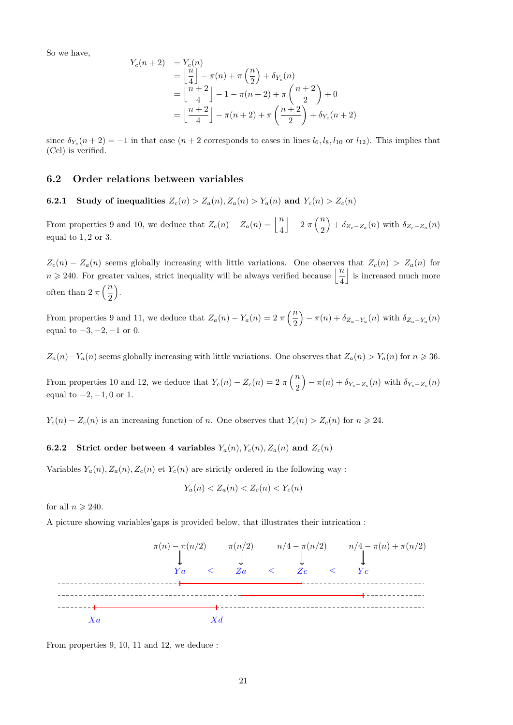$$
Y_c(n+2) = Y_c(n)
$$
  
=  $\left\lfloor \frac{n}{4} \right\rfloor - \pi(n) + \pi \left( \frac{n}{2} \right) + \delta_{Y_c}(n)$   
=  $\left\lfloor \frac{n+2}{4} \right\rfloor - 1 - \pi(n+2) + \pi \left( \frac{n+2}{2} \right) + 0$   
=  $\left\lfloor \frac{n+2}{4} \right\rfloor - \pi(n+2) + \pi \left( \frac{n+2}{2} \right) + \delta_{Y_c}(n+2)$ 

since  $\delta_{Y_c}(n+2) = -1$  in that case  $(n+2$  corresponds to cases in lines  $l_6, l_8, l_{10}$  or  $l_{12}$ ). This implies that (Ccl) is verified.

## **6.2 Order relations between variables**

**6.2.1 Study of inequalities**  $Z_c(n) > Z_a(n), Z_a(n) > Y_a(n)$  and  $Y_c(n) > Z_c(n)$ 

From properties 9 and 10, we deduce that  $Z_c(n) - Z_a(n) = \left\lfloor \frac{n}{4} \right\rfloor$  $\left| -2 \pi \left( \frac{n}{2} \right) \right|$ 2  $\int + \delta_{Z_c - Z_a}(n)$  with  $\delta_{Z_c - Z_a}(n)$ equal to 1*,* 2 or 3.

 $Z_c(n) - Z_a(n)$  seems globally increasing with little variations. One observes that  $Z_c(n) > Z_a(n)$  for  $n \geqslant 240$ . For greater values, strict inequality will be always verified because  $\left\lfloor \frac{n}{4} \right\rfloor$ | is increased much more often than  $2 \pi \left(\frac{n}{2}\right)$ 2 .

From properties 9 and 11, we deduce that  $Z_a(n) - Y_a(n) = 2 \pi \left(\frac{n}{2}\right)$ 2  $-\pi(n) + \delta_{Z_a - Y_a}(n)$  with  $\delta_{Z_a - Y_a}(n)$ equal to −3*,* −2*,* −1 or 0.

 $Z_a(n) - Y_a(n)$  seems globally increasing with little variations. One observes that  $Z_a(n) > Y_a(n)$  for  $n \geq 36$ .

From properties 10 and 12, we deduce that  $Y_c(n) - Z_c(n) = 2 \pi \left(\frac{n}{2}\right)$ 2  $-\pi(n) + \delta_{Y_c - Z_c}(n)$  with  $\delta_{Y_c - Z_c}(n)$ equal to  $-2, -1, 0$  or 1.

*Y*<sub>c</sub>(*n*) − *Z*<sub>*c*</sub>(*n*) is an increasing function of *n*. One observes that  $Y_c(n) > Z_c(n)$  for  $n \ge 24$ .

## **6.2.2** Strict order between 4 variables  $Y_a(n)$ ,  $Y_c(n)$ ,  $Z_a(n)$  and  $Z_c(n)$

Variables  $Y_a(n)$ ,  $Z_a(n)$ ,  $Z_c(n)$  et  $Y_c(n)$  are strictly ordered in the following way :

$$
Y_a(n) < Z_a(n) < Z_c(n) < Y_c(n)
$$

for all  $n \geqslant 240$ .

A picture showing variables'gaps is provided below, that illustrates their intrication :



From properties 9, 10, 11 and 12, we deduce :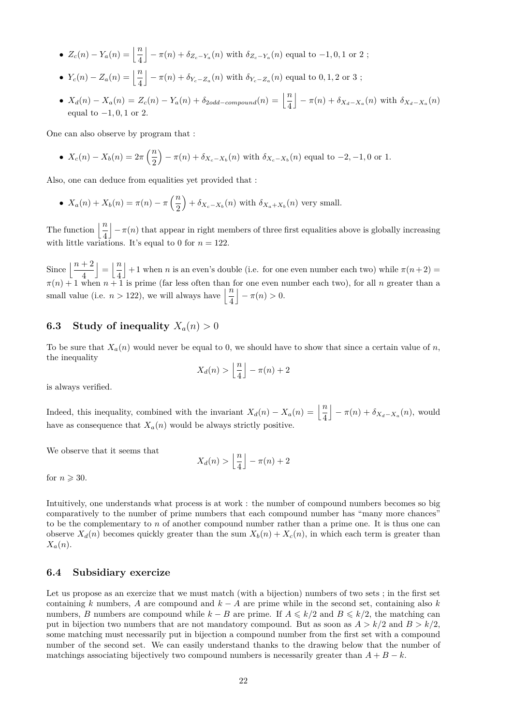- $Z_c(n) Y_a(n) = \left\lfloor \frac{n}{4} \right\rfloor$  $\left(-\pi(n) + \delta_{Z_c - Y_a}(n) \text{ with } \delta_{Z_c - Y_a}(n) \text{ equal to } -1, 0, 1 \text{ or } 2; \right)$
- $Y_c(n) Z_a(n) = \left\lfloor \frac{n}{4} \right\rfloor$  $\left(-\pi(n) + \delta_{Y_c - Z_a}(n) \text{ with } \delta_{Y_c - Z_a}(n) \text{ equal to } 0, 1, 2 \text{ or } 3; \right)$
- $X_d(n) X_a(n) = Z_c(n) Y_a(n) + \delta_{2odd-compound}(n) = \left\lfloor \frac{n}{4} \right\rfloor$  $-\pi(n) + \delta_{X_d - X_a}(n)$  with  $\delta_{X_d - X_a}(n)$ equal to −1*,* 0*,* 1 or 2.

One can also observe by program that :

•  $X_c(n) - X_b(n) = 2\pi \left(\frac{n}{2}\right)$ 2  $(-\pi(n) + \delta_{X_c - X_b}(n))$  with  $\delta_{X_c - X_b}(n)$  equal to  $-2, -1, 0$  or 1.

Also, one can deduce from equalities yet provided that :

•  $X_a(n) + X_b(n) = \pi(n) - \pi\left(\frac{n}{2}\right)$ 2  $+ \delta_{X_c-X_b}(n)$  with  $\delta_{X_a+X_b}(n)$  very small.

The function  $\frac{n}{4}$  $-\pi(n)$  that appear in right members of three first equalities above is globally increasing with little variations. It's equal to 0 for  $n = 122$ .

Since  $\left\lfloor \frac{n+2}{4} \right\rfloor$  $\vert = \vert \frac{n}{4} \vert$ 4  $\vert +1$  when *n* is an even's double (i.e. for one even number each two) while  $\pi(n+2)$  $\pi(n) + 1$  when  $n + 1$  is prime (far less often than for one even number each two), for all *n* greater than a small value (i.e.  $n > 122$ ), we will always have  $\left\lfloor \frac{n}{4} \right\rfloor$  $-\pi(n) > 0.$ 

# **6.3** Study of inequality  $X_a(n) > 0$

To be sure that  $X_a(n)$  would never be equal to 0, we should have to show that since a certain value of *n*, the inequality

$$
X_d(n) > \left\lfloor \frac{n}{4} \right\rfloor - \pi(n) + 2
$$

is always verified.

Indeed, this inequality, combined with the invariant  $X_d(n) - X_a(n) = \left\lfloor \frac{n}{4} \right\rfloor$  $-\pi(n) + \delta_{X_d - X_a}(n)$ , would have as consequence that  $X_a(n)$  would be always strictly positive.

We observe that it seems that

$$
X_d(n) > \left\lfloor \frac{n}{4} \right\rfloor - \pi(n) + 2
$$

for  $n \geqslant 30$ .

Intuitively, one understands what process is at work : the number of compound numbers becomes so big comparatively to the number of prime numbers that each compound number has "many more chances" to be the complementary to *n* of another compound number rather than a prime one. It is thus one can observe  $X_d(n)$  becomes quickly greater than the sum  $X_b(n) + X_c(n)$ , in which each term is greater than *Xa*(*n*).

#### **6.4 Subsidiary exercize**

Let us propose as an exercize that we must match (with a bijection) numbers of two sets; in the first set containing *k* numbers, *A* are compound and  $k - A$  are prime while in the second set, containing also *k* numbers, *B* numbers are compound while  $k - B$  are prime. If  $A \le k/2$  and  $B \le k/2$ , the matching can put in bijection two numbers that are not mandatory compound. But as soon as  $A > k/2$  and  $B > k/2$ , some matching must necessarily put in bijection a compound number from the first set with a compound number of the second set. We can easily understand thanks to the drawing below that the number of matchings associating bijectively two compound numbers is necessarily greater than  $A + B - k$ .